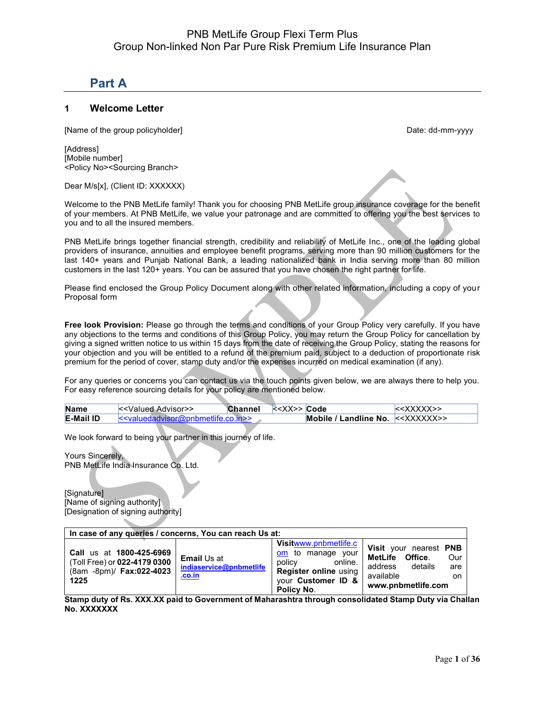# **Part A**

### **1 Welcome Letter**

[Name of the group policyholder] example and the group of the group of the group of the group of the group of the group of the group of the group of the group of the group of the group of the group of the group of the grou

[Address] [Mobile number] <Policy No><Sourcing Branch>

Dear M/s[x], (Client ID: XXXXXX)

Welcome to the PNB MetLife family! Thank you for choosing PNB MetLife group insurance coverage for the benefit of your members. At PNB MetLife, we value your patronage and are committed to offering you the best services to you and to all the insured members.

PNB MetLife brings together financial strength, credibility and reliability of MetLife Inc., one of the leading global providers of insurance, annuities and employee benefit programs, serving more than 90 million customers for the last 140+ years and Punjab National Bank, a leading nationalized bank in India serving more than 80 million customers in the last 120+ years. You can be assured that you have chosen the right partner for life.

Please find enclosed the Group Policy Document along with other related information, including a copy of your Proposal form

**Free look Provision:** Please go through the terms and conditions of your Group Policy very carefully. If you have any objections to the terms and conditions of this Group Policy, you may return the Group Policy for cancellation by giving a signed written notice to us within 15 days from the date of receiving the Group Policy, stating the reasons for your objection and you will be entitled to a refund of the premium paid, subject to a deduction of proportionate risk premium for the period of cover, stamp duty and/or the expenses incurred on medical examination (if any).

For any queries or concerns you can contact us via the touch points given below, we are always there to help you. For easy reference sourcing details for your policy are mentioned below.

| <b>Name</b>      | < <valued advisor="">&gt;</valued>     | <b>Channel</b> | < <xx>&gt; Code</xx> |                                                                                                     |
|------------------|----------------------------------------|----------------|----------------------|-----------------------------------------------------------------------------------------------------|
| <b>E-Mail ID</b> | $\le$ valuedadvisor@pphmetlife.co.in>> |                |                      | Mobile / Landline No. $\le\!\!<\!\!\!\times\!\!\times\!\!\times\!\!\times\!\!\times\!\!\times\!\!>$ |

We look forward to being your partner in this journey of life.

Yours Sincerely, PNB MetLife India Insurance Co. Ltd.

[Signature] [Name of signing authority] [Designation of signing authority]

| In case of any queries / concerns, You can reach Us at:                                             |                                                         |                                                                                                                                            |                                                                                                    |                  |
|-----------------------------------------------------------------------------------------------------|---------------------------------------------------------|--------------------------------------------------------------------------------------------------------------------------------------------|----------------------------------------------------------------------------------------------------|------------------|
| Call us at 1800-425-6969<br>(Toll Free) or 022-4179 0300<br>(8am -8pm)/ <b>Fax:022-4023</b><br>1225 | <b>Email Us at</b><br>indiaservice@pnbmetlife<br>.co.in | <b>Visitwww.pnbmetlife.c</b><br>om to manage your<br>policy<br>online.<br><b>Register online using</b><br>vour Customer ID &<br>Policy No. | Visit your nearest PNB<br>MetLife Office.<br>details<br>address<br>available<br>www.pnbmetlife.com | Our<br>are<br>on |

**Stamp duty of Rs. XXX.XX paid to Government of Maharashtra through consolidated Stamp Duty via Challan No. XXXXXXX**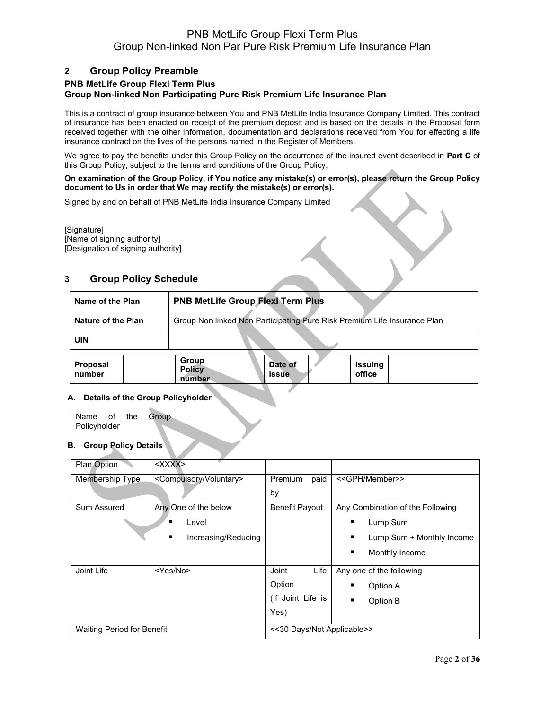### **2 Group Policy Preamble**

### **PNB MetLife Group Flexi Term Plus Group Non-linked Non Participating Pure Risk Premium Life Insurance Plan**

This is a contract of group insurance between You and PNB MetLife India Insurance Company Limited. This contract of insurance has been enacted on receipt of the premium deposit and is based on the details in the Proposal form received together with the other information, documentation and declarations received from You for effecting a life insurance contract on the lives of the persons named in the Register of Members.

We agree to pay the benefits under this Group Policy on the occurrence of the insured event described in **Part C** of this Group Policy, subject to the terms and conditions of the Group Policy.

#### **On examination of the Group Policy, if You notice any mistake(s) or error(s), please return the Group Policy document to Us in order that We may rectify the mistake(s) or error(s).**

Signed by and on behalf of PNB MetLife India Insurance Company Limited

[Signature] [Name of signing authority] [Designation of signing authority]

# **3 Group Policy Schedule**

| <b>PNB MetLife Group Flexi Term Plus</b><br>Name of the Plan |                                                                          |  |  |
|--------------------------------------------------------------|--------------------------------------------------------------------------|--|--|
| Nature of the Plan                                           | Group Non linked Non Participating Pure Risk Premium Life Insurance Plan |  |  |
| <b>UIN</b>                                                   |                                                                          |  |  |

| Proposal<br>number | Group<br><b>Policy</b><br>number | Date of<br>issue | <b>Issuing</b><br>office |  |
|--------------------|----------------------------------|------------------|--------------------------|--|
|                    |                                  |                  |                          |  |

### **A. Details of the Group Policyholder**

### **B. Group Policy Details**

| Plan Option                       | $<$ $<$ $<$ $<$ $<$ $<$ $<$ $<$ $<$ $<$ $<$ $<$ $>$ |                            |                                  |
|-----------------------------------|-----------------------------------------------------|----------------------------|----------------------------------|
| Membership Type                   | <compulsory voluntary=""></compulsory>              | Premium<br>paid            | < <gph member="">&gt;</gph>      |
|                                   |                                                     | by                         |                                  |
| Sum Assured                       | Any One of the below                                | <b>Benefit Payout</b>      | Any Combination of the Following |
|                                   | $\blacksquare$<br>Level                             |                            | Lump Sum<br>п                    |
|                                   | ٠<br>Increasing/Reducing                            |                            | Lump Sum + Monthly Income<br>٠   |
|                                   |                                                     |                            | ٠<br>Monthly Income              |
| Joint Life                        | <yes no=""></yes>                                   | Joint<br>Life              | Any one of the following         |
|                                   |                                                     | Option                     | Option A<br>п                    |
|                                   |                                                     | (If Joint Life is          | Option B<br>$\blacksquare$       |
|                                   |                                                     | Yes)                       |                                  |
| <b>Waiting Period for Benefit</b> |                                                     | <<30 Days/Not Applicable>> |                                  |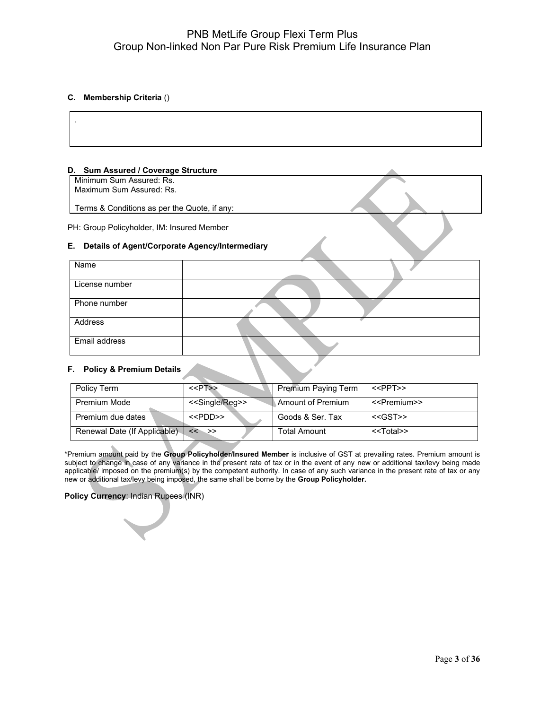#### **C. Membership Criteria** ()

#### **D. Sum Assured / Coverage Structure**

Minimum Sum Assured: Rs. Maximum Sum Assured: Rs.

Terms & Conditions as per the Quote, if any:

PH: Group Policyholder, IM: Insured Member

#### **E. Details of Agent/Corporate Agency/Intermediary**

| Name           |  |
|----------------|--|
|                |  |
| License number |  |
| Phone number   |  |
| Address        |  |
| Email address  |  |

#### **F. Policy & Premium Details**

| Policy Term                  | $\le$ PT>>                     | <b>Premium Paying Term</b> | < <ppt>&gt;</ppt>         |
|------------------------------|--------------------------------|----------------------------|---------------------------|
| Premium Mode                 | < <single reg="">&gt;</single> | Amount of Premium          | < <premium>&gt;</premium> |
| Premium due dates            | < <pdd>&gt;</pdd>              | Goods & Ser. Tax           | $<<$ GST>>                |
| Renewal Date (If Applicable) | $<<$ >>                        | Total Amount               | < <total>&gt;</total>     |

\*Premium amount paid by the **Group Policyholder/Insured Member** is inclusive of GST at prevailing rates. Premium amount is subject to change in case of any variance in the present rate of tax or in the event of any new or additional tax/levy being made applicable/ imposed on the premium(s) by the competent authority. In case of any such variance in the present rate of tax or any new or additional tax/levy being imposed, the same shall be borne by the **Group Policyholder.**

#### **Policy Currency**: Indian Rupees (INR)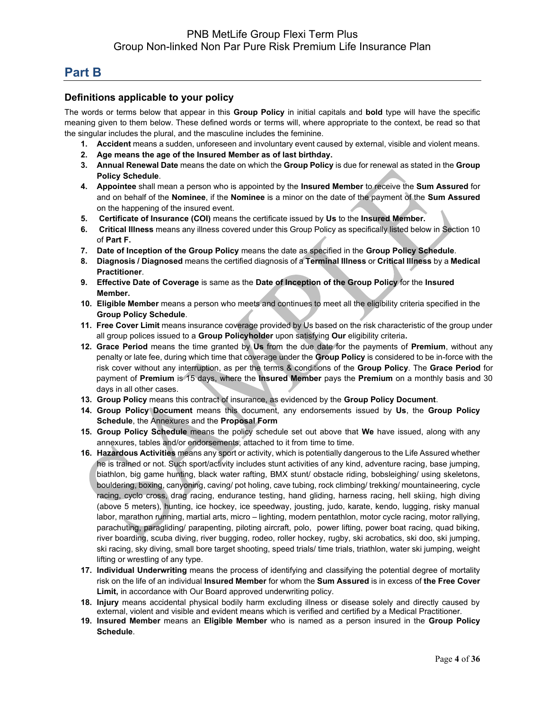# **Part B**

### **Definitions applicable to your policy**

The words or terms below that appear in this **Group Policy** in initial capitals and **bold** type will have the specific meaning given to them below. These defined words or terms will, where appropriate to the context, be read so that the singular includes the plural, and the masculine includes the feminine.

- **1. Accident** means a sudden, unforeseen and involuntary event caused by external, visible and violent means.
- **2. Age means the age of the Insured Member as of last birthday.**
- **3. Annual Renewal Date** means the date on which the **Group Policy** is due for renewal as stated in the **Group Policy Schedule**.
- **4. Appointee** shall mean a person who is appointed by the **Insured Member** to receive the **Sum Assured** for and on behalf of the **Nominee**, if the **Nominee** is a minor on the date of the payment of the **Sum Assured** on the happening of the insured event.
- **5. Certificate of Insurance (COI)** means the certificate issued by **Us** to the **Insured Member.**
- **6. Critical Illness** means any illness covered under this Group Policy as specifically listed below in Section 10 of **Part F.**
- **7. Date of Inception of the Group Policy** means the date as specified in the **Group Policy Schedule**.
- **8. Diagnosis / Diagnosed** means the certified diagnosis of a **Terminal Illness** or **Critical Illness** by a **Medical Practitioner**.
- **9. Effective Date of Coverage** is same as the **Date of Inception of the Group Policy** for the **Insured Member.**
- **10. Eligible Member** means a person who meets and continues to meet all the eligibility criteria specified in the **Group Policy Schedule**.
- **11. Free Cover Limit** means insurance coverage provided by Us based on the risk characteristic of the group under all group polices issued to a **Group Policyholder** upon satisfying **Our** eligibility criteria**.**
- **12. Grace Period** means the time granted by **Us** from the due date for the payments of **Premium**, without any penalty or late fee, during which time that coverage under the **Group Policy** is considered to be in-force with the risk cover without any interruption, as per the terms & conditions of the **Group Policy**. The **Grace Period** for payment of **Premium** is 15 days, where the **Insured Member** pays the **Premium** on a monthly basis and 30 days in all other cases.
- **13. Group Policy** means this contract of insurance, as evidenced by the **Group Policy Document**.
- **14. Group Policy Document** means this document, any endorsements issued by **Us**, the **Group Policy Schedule**, the Annexures and the **Proposal Form**
- **15. Group Policy Schedule** means the policy schedule set out above that **We** have issued, along with any annexures, tables and/or endorsements, attached to it from time to time.
- **16. Hazardous Activities** means any sport or activity, which is potentially dangerous to the Life Assured whether he is trained or not. Such sport/activity includes stunt activities of any kind, adventure racing, base jumping, biathlon, big game hunting, black water rafting, BMX stunt/ obstacle riding, bobsleighing/ using skeletons, bouldering, boxing, canyoning, caving/ pot holing, cave tubing, rock climbing/ trekking/ mountaineering, cycle racing, cyclo cross, drag racing, endurance testing, hand gliding, harness racing, hell skiing, high diving (above 5 meters), hunting, ice hockey, ice speedway, jousting, judo, karate, kendo, lugging, risky manual labor, marathon running, martial arts, micro – lighting, modern pentathlon, motor cycle racing, motor rallying, parachuting, paragliding/ parapenting, piloting aircraft, polo, power lifting, power boat racing, quad biking, river boarding, scuba diving, river bugging, rodeo, roller hockey, rugby, ski acrobatics, ski doo, ski jumping, ski racing, sky diving, small bore target shooting, speed trials/ time trials, triathlon, water ski jumping, weight lifting or wrestling of any type.
- **17. Individual Underwriting** means the process of identifying and classifying the potential degree of mortality risk on the life of an individual **Insured Member** for whom the **Sum Assured** is in excess of **the Free Cover Limit,** in accordance with Our Board approved underwriting policy.
- **18. Injury** means accidental physical bodily harm excluding illness or disease solely and directly caused by external, violent and visible and evident means which is verified and certified by a Medical Practitioner.
- **19. Insured Member** means an **Eligible Member** who is named as a person insured in the **Group Policy Schedule**.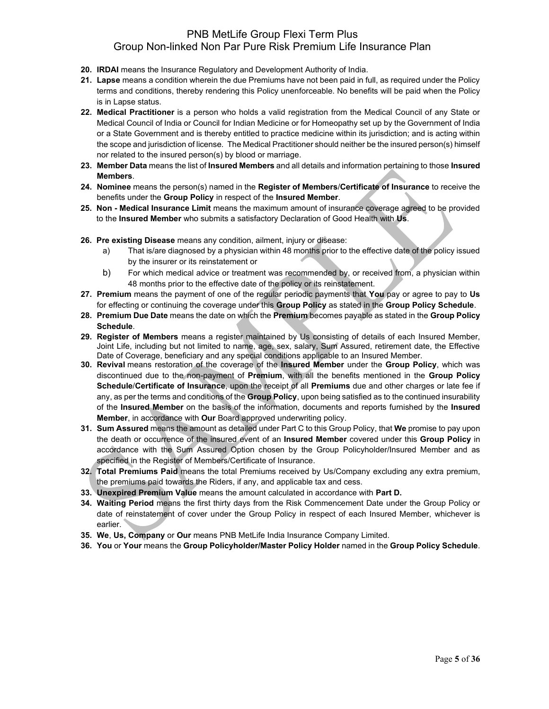- **20. IRDAI** means the Insurance Regulatory and Development Authority of India.
- **21. Lapse** means a condition wherein the due Premiums have not been paid in full, as required under the Policy terms and conditions, thereby rendering this Policy unenforceable. No benefits will be paid when the Policy is in Lapse status.
- **22. Medical Practitioner** is a person who holds a valid registration from the Medical Council of any State or Medical Council of India or Council for Indian Medicine or for Homeopathy set up by the Government of India or a State Government and is thereby entitled to practice medicine within its jurisdiction; and is acting within the scope and jurisdiction of license. The Medical Practitioner should neither be the insured person(s) himself nor related to the insured person(s) by blood or marriage.
- **23. Member Data** means the list of **Insured Members** and all details and information pertaining to those **Insured Members**.
- **24. Nominee** means the person(s) named in the **Register of Members**/**Certificate of Insurance** to receive the benefits under the **Group Policy** in respect of the **Insured Member**.
- **25. Non - Medical Insurance Limit** means the maximum amount of insurance coverage agreed to be provided to the **Insured Member** who submits a satisfactory Declaration of Good Health with **Us**.
- **26. Pre existing Disease** means any condition, ailment, injury or disease:
	- a) That is/are diagnosed by a physician within 48 months prior to the effective date of the policy issued by the insurer or its reinstatement or
	- b) For which medical advice or treatment was recommended by, or received from, a physician within 48 months prior to the effective date of the policy or its reinstatement.
- **27. Premium** means the payment of one of the regular periodic payments that **You** pay or agree to pay to **Us** for effecting or continuing the coverage under this **Group Policy** as stated in the **Group Policy Schedule**.
- **28. Premium Due Date** means the date on which the **Premium** becomes payable as stated in the **Group Policy Schedule**.
- **29. Register of Members** means a register maintained by Us consisting of details of each Insured Member, Joint Life, including but not limited to name, age, sex, salary, Sum Assured, retirement date, the Effective Date of Coverage, beneficiary and any special conditions applicable to an Insured Member.
- **30. Revival** means restoration of the coverage of the **Insured Member** under the **Group Policy**, which was discontinued due to the non-payment of **Premium**, with all the benefits mentioned in the **Group Policy Schedule**/**Certificate of Insurance**, upon the receipt of all **Premiums** due and other charges or late fee if any, as per the terms and conditions of the **Group Policy**, upon being satisfied as to the continued insurability of the **Insured Member** on the basis of the information, documents and reports furnished by the **Insured Member**, in accordance with **Our** Board approved underwriting policy.
- **31. Sum Assured** means the amount as detailed under Part C to this Group Policy, that **We** promise to pay upon the death or occurrence of the insured event of an **Insured Member** covered under this **Group Policy** in accordance with the Sum Assured Option chosen by the Group Policyholder/Insured Member and as specified in the Register of Members/Certificate of Insurance.
- **32. Total Premiums Paid** means the total Premiums received by Us/Company excluding any extra premium, the premiums paid towards the Riders, if any, and applicable tax and cess.
- **33. Unexpired Premium Value** means the amount calculated in accordance with **Part D.**
- **34. Waiting Period** means the first thirty days from the Risk Commencement Date under the Group Policy or date of reinstatement of cover under the Group Policy in respect of each Insured Member, whichever is earlier.
- **35. We**, **Us, Company** or **Our** means PNB MetLife India Insurance Company Limited.
- **36. You** or **Your** means the **Group Policyholder/Master Policy Holder** named in the **Group Policy Schedule**.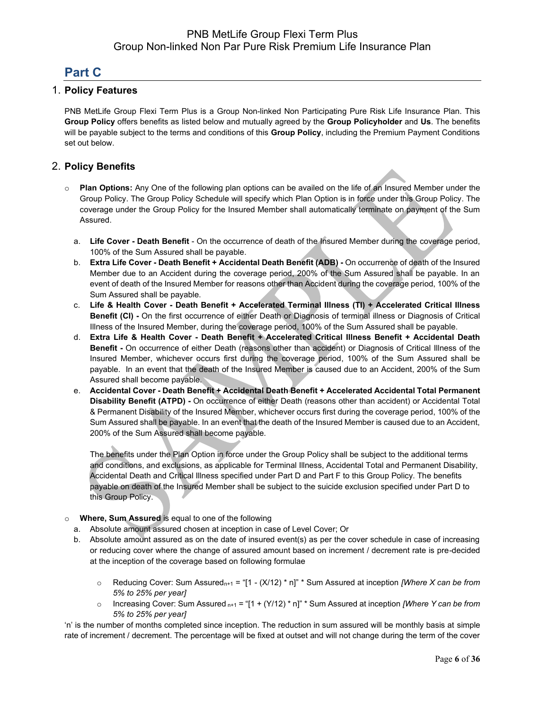# **Part C**

### 1. **Policy Features**

PNB MetLife Group Flexi Term Plus is a Group Non-linked Non Participating Pure Risk Life Insurance Plan. This **Group Policy** offers benefits as listed below and mutually agreed by the **Group Policyholder** and **Us**. The benefits will be payable subject to the terms and conditions of this **Group Policy**, including the Premium Payment Conditions set out below.

### 2. **Policy Benefits**

- o **Plan Options:** Any One of the following plan options can be availed on the life of an Insured Member under the Group Policy. The Group Policy Schedule will specify which Plan Option is in force under this Group Policy. The coverage under the Group Policy for the Insured Member shall automatically terminate on payment of the Sum Assured.
	- a. **Life Cover - Death Benefit** On the occurrence of death of the Insured Member during the coverage period, 100% of the Sum Assured shall be payable.
	- b. **Extra Life Cover - Death Benefit + Accidental Death Benefit (ADB) -** On occurrence of death of the Insured Member due to an Accident during the coverage period, 200% of the Sum Assured shall be payable. In an event of death of the Insured Member for reasons other than Accident during the coverage period, 100% of the Sum Assured shall be payable.
	- c. **Life & Health Cover - Death Benefit + Accelerated Terminal Illness (TI) + Accelerated Critical Illness Benefit (CI) -** On the first occurrence of either Death or Diagnosis of terminal illness or Diagnosis of Critical Illness of the Insured Member, during the coverage period, 100% of the Sum Assured shall be payable.
	- d. **Extra Life & Health Cover - Death Benefit + Accelerated Critical Illness Benefit + Accidental Death Benefit -** On occurrence of either Death (reasons other than accident) or Diagnosis of Critical Illness of the Insured Member, whichever occurs first during the coverage period, 100% of the Sum Assured shall be payable. In an event that the death of the Insured Member is caused due to an Accident, 200% of the Sum Assured shall become payable.
	- e. **Accidental Cover - Death Benefit + Accidental Death Benefit + Accelerated Accidental Total Permanent Disability Benefit (ATPD) -** On occurrence of either Death (reasons other than accident) or Accidental Total & Permanent Disability of the Insured Member, whichever occurs first during the coverage period, 100% of the Sum Assured shall be payable. In an event that the death of the Insured Member is caused due to an Accident, 200% of the Sum Assured shall become payable.

The benefits under the Plan Option in force under the Group Policy shall be subject to the additional terms and conditions, and exclusions, as applicable for Terminal Illness, Accidental Total and Permanent Disability, Accidental Death and Critical Illness specified under Part D and Part F to this Group Policy. The benefits payable on death of the Insured Member shall be subject to the suicide exclusion specified under Part D to this Group Policy.

- o **Where, Sum Assured** is equal to one of the following
	- a. Absolute amount assured chosen at inception in case of Level Cover; Or
	- b. Absolute amount assured as on the date of insured event(s) as per the cover schedule in case of increasing or reducing cover where the change of assured amount based on increment / decrement rate is pre-decided at the inception of the coverage based on following formulae
		- o Reducing Cover: Sum Assuredn+1 = "[1 (X/12) \* n]" \* Sum Assured at inception *[Where X can be from 5% to 25% per year]*
		- o Increasing Cover: Sum Assured n+1 = "[1 + (Y/12) \* n]" \* Sum Assured at inception *[Where Y can be from 5% to 25% per year]*

'n' is the number of months completed since inception. The reduction in sum assured will be monthly basis at simple rate of increment / decrement. The percentage will be fixed at outset and will not change during the term of the cover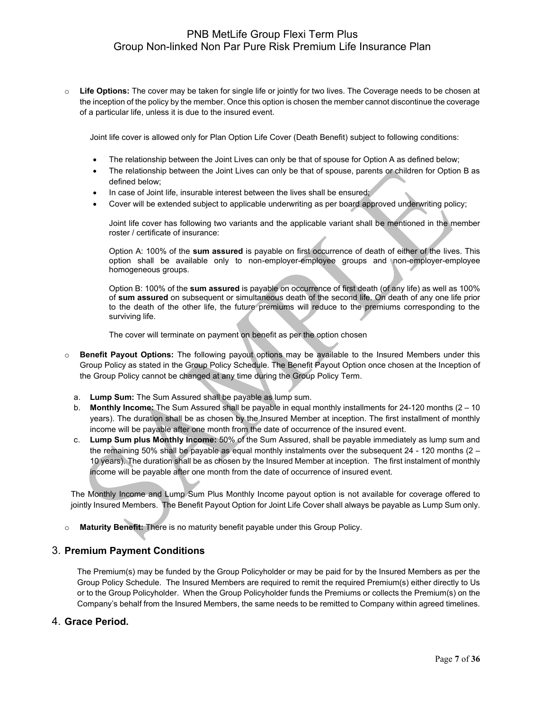o **Life Options:** The cover may be taken for single life or jointly for two lives. The Coverage needs to be chosen at the inception of the policy by the member. Once this option is chosen the member cannot discontinue the coverage of a particular life, unless it is due to the insured event.

Joint life cover is allowed only for Plan Option Life Cover (Death Benefit) subject to following conditions:

- The relationship between the Joint Lives can only be that of spouse for Option A as defined below;
- The relationship between the Joint Lives can only be that of spouse, parents or children for Option B as defined below;
- In case of Joint life, insurable interest between the lives shall be ensured;
- Cover will be extended subject to applicable underwriting as per board approved underwriting policy;

Joint life cover has following two variants and the applicable variant shall be mentioned in the member roster / certificate of insurance:

Option A: 100% of the **sum assured** is payable on first occurrence of death of either of the lives. This option shall be available only to non-employer-employee groups and non-employer-employee homogeneous groups.

Option B: 100% of the **sum assured** is payable on occurrence of first death (of any life) as well as 100% of **sum assured** on subsequent or simultaneous death of the second life. On death of any one life prior to the death of the other life, the future premiums will reduce to the premiums corresponding to the surviving life.

The cover will terminate on payment on benefit as per the option chosen

- o **Benefit Payout Options:** The following payout options may be available to the Insured Members under this Group Policy as stated in the Group Policy Schedule. The Benefit Payout Option once chosen at the Inception of the Group Policy cannot be changed at any time during the Group Policy Term.
	- a. **Lump Sum:** The Sum Assured shall be payable as lump sum.
	- b. **Monthly Income:** The Sum Assured shall be payable in equal monthly installments for 24-120 months (2 10 years). The duration shall be as chosen by the Insured Member at inception. The first installment of monthly income will be payable after one month from the date of occurrence of the insured event.
	- c. **Lump Sum plus Monthly Income:** 50% of the Sum Assured, shall be payable immediately as lump sum and the remaining 50% shall be payable as equal monthly instalments over the subsequent 24 - 120 months (2 – 10 years). The duration shall be as chosen by the Insured Member at inception. The first instalment of monthly income will be payable after one month from the date of occurrence of insured event.

The Monthly Income and Lump Sum Plus Monthly Income payout option is not available for coverage offered to jointly Insured Members. The Benefit Payout Option for Joint Life Cover shall always be payable as Lump Sum only.

Maturity Benefit: There is no maturity benefit payable under this Group Policy.

#### 3. **Premium Payment Conditions**

The Premium(s) may be funded by the Group Policyholder or may be paid for by the Insured Members as per the Group Policy Schedule. The Insured Members are required to remit the required Premium(s) either directly to Us or to the Group Policyholder. When the Group Policyholder funds the Premiums or collects the Premium(s) on the Company's behalf from the Insured Members, the same needs to be remitted to Company within agreed timelines.

#### 4. **Grace Period.**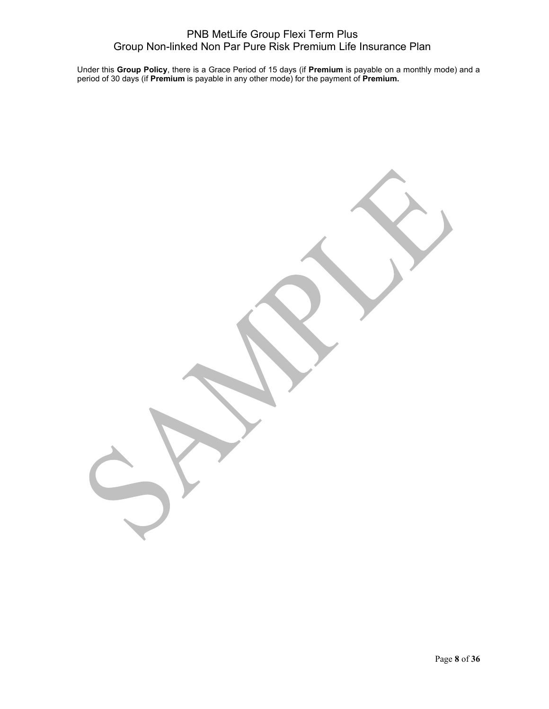Under this **Group Policy**, there is a Grace Period of 15 days (if **Premium** is payable on a monthly mode) and a period of 30 days (if **Premium** is payable in any other mode) for the payment of **Premium.**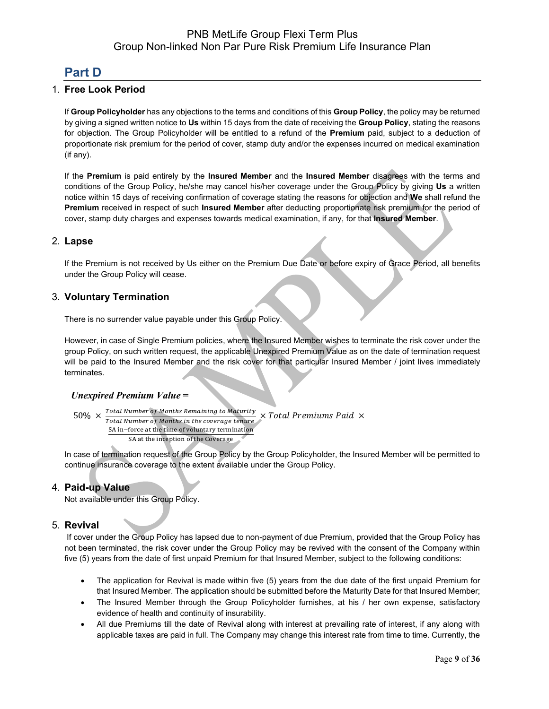# **Part D**

## 1. **Free Look Period**

If **Group Policyholder** has any objections to the terms and conditions of this **Group Policy**, the policy may be returned by giving a signed written notice to **Us** within 15 days from the date of receiving the **Group Policy**, stating the reasons for objection. The Group Policyholder will be entitled to a refund of the **Premium** paid, subject to a deduction of proportionate risk premium for the period of cover, stamp duty and/or the expenses incurred on medical examination (if any).

If the **Premium** is paid entirely by the **Insured Member** and the **Insured Member** disagrees with the terms and conditions of the Group Policy, he/she may cancel his/her coverage under the Group Policy by giving **Us** a written notice within 15 days of receiving confirmation of coverage stating the reasons for objection and **We** shall refund the **Premium** received in respect of such **Insured Member** after deducting proportionate risk premium for the period of cover, stamp duty charges and expenses towards medical examination, if any, for that **Insured Member**.

### 2. **Lapse**

If the Premium is not received by Us either on the Premium Due Date or before expiry of Grace Period, all benefits under the Group Policy will cease.

### 3. **Voluntary Termination**

There is no surrender value payable under this Group Policy.

However, in case of Single Premium policies, where the Insured Member wishes to terminate the risk cover under the group Policy, on such written request, the applicable Unexpired Premium Value as on the date of termination request will be paid to the Insured Member and the risk cover for that particular Insured Member / joint lives immediately terminates.

#### *Unexpired Premium Value* **=**

```
50\% \times \frac{Total Number of Monthly to maturity}{Total Number of Monthly in the sources, time}Fotal Number of Months Remaining to Maturity \times Total Premiums Paid \times Total Number of Months in the coverage tenure
  SA in−force at the time of voluntary termination
            SA at the inception of the Coverage
```
In case of termination request of the Group Policy by the Group Policyholder, the Insured Member will be permitted to continue insurance coverage to the extent available under the Group Policy.

#### 4. **Paid-up Value**

Not available under this Group Policy.

#### 5. **Revival**

If cover under the Group Policy has lapsed due to non-payment of due Premium, provided that the Group Policy has not been terminated, the risk cover under the Group Policy may be revived with the consent of the Company within five (5) years from the date of first unpaid Premium for that Insured Member, subject to the following conditions:

- The application for Revival is made within five (5) years from the due date of the first unpaid Premium for that Insured Member. The application should be submitted before the Maturity Date for that Insured Member;
- The Insured Member through the Group Policyholder furnishes, at his / her own expense, satisfactory evidence of health and continuity of insurability.
- All due Premiums till the date of Revival along with interest at prevailing rate of interest, if any along with applicable taxes are paid in full. The Company may change this interest rate from time to time. Currently, the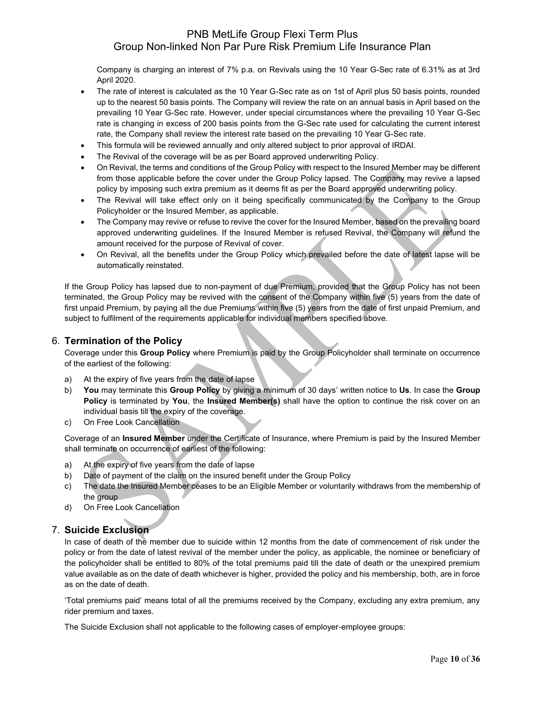Company is charging an interest of 7% p.a. on Revivals using the 10 Year G-Sec rate of 6.31% as at 3rd April 2020.

- The rate of interest is calculated as the 10 Year G-Sec rate as on 1st of April plus 50 basis points, rounded up to the nearest 50 basis points. The Company will review the rate on an annual basis in April based on the prevailing 10 Year G-Sec rate. However, under special circumstances where the prevailing 10 Year G-Sec rate is changing in excess of 200 basis points from the G-Sec rate used for calculating the current interest rate, the Company shall review the interest rate based on the prevailing 10 Year G-Sec rate.
- This formula will be reviewed annually and only altered subject to prior approval of IRDAI.
- The Revival of the coverage will be as per Board approved underwriting Policy.
- On Revival, the terms and conditions of the Group Policy with respect to the Insured Member may be different from those applicable before the cover under the Group Policy lapsed. The Company may revive a lapsed policy by imposing such extra premium as it deems fit as per the Board approved underwriting policy.
- The Revival will take effect only on it being specifically communicated by the Company to the Group Policyholder or the Insured Member, as applicable.
- The Company may revive or refuse to revive the cover for the Insured Member, based on the prevailing board approved underwriting guidelines. If the Insured Member is refused Revival, the Company will refund the amount received for the purpose of Revival of cover.
- On Revival, all the benefits under the Group Policy which prevailed before the date of latest lapse will be automatically reinstated.

If the Group Policy has lapsed due to non-payment of due Premium, provided that the Group Policy has not been terminated, the Group Policy may be revived with the consent of the Company within five (5) years from the date of first unpaid Premium, by paying all the due Premiums within five (5) years from the date of first unpaid Premium, and subject to fulfilment of the requirements applicable for individual members specified above.

### 6. **Termination of the Policy**

Coverage under this **Group Policy** where Premium is paid by the Group Policyholder shall terminate on occurrence of the earliest of the following:

- a) At the expiry of five years from the date of lapse
- b) **You** may terminate this **Group Policy** by giving a minimum of 30 days' written notice to **Us**. In case the **Group Policy** is terminated by **You**, the **Insured Member(s)** shall have the option to continue the risk cover on an individual basis till the expiry of the coverage.
- c) On Free Look Cancellation

Coverage of an **Insured Member** under the Certificate of Insurance, where Premium is paid by the Insured Member shall terminate on occurrence of earliest of the following:

- a) At the expiry of five years from the date of lapse
- b) Date of payment of the claim on the insured benefit under the Group Policy
- c) The date the Insured Member ceases to be an Eligible Member or voluntarily withdraws from the membership of the group
- d) On Free Look Cancellation

### 7. **Suicide Exclusion**

In case of death of the member due to suicide within 12 months from the date of commencement of risk under the policy or from the date of latest revival of the member under the policy, as applicable, the nominee or beneficiary of the policyholder shall be entitled to 80% of the total premiums paid till the date of death or the unexpired premium value available as on the date of death whichever is higher, provided the policy and his membership, both, are in force as on the date of death.

'Total premiums paid' means total of all the premiums received by the Company, excluding any extra premium, any rider premium and taxes.

The Suicide Exclusion shall not applicable to the following cases of employer-employee groups: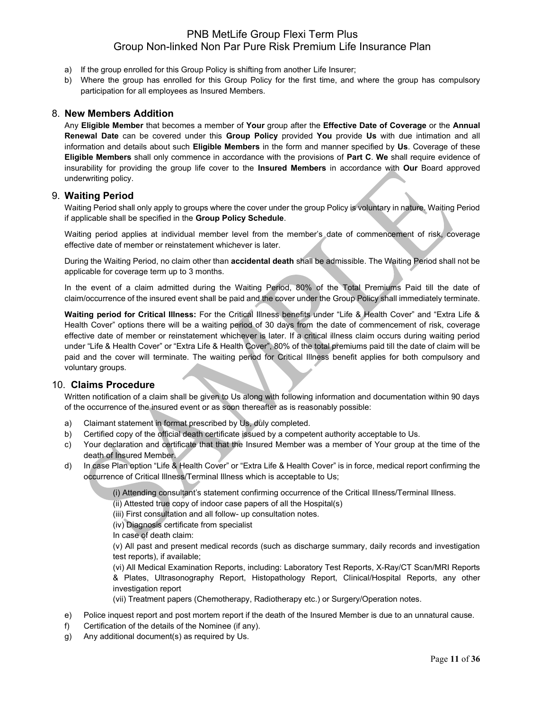- a) If the group enrolled for this Group Policy is shifting from another Life Insurer;
- b) Where the group has enrolled for this Group Policy for the first time, and where the group has compulsory participation for all employees as Insured Members.

### 8. **New Members Addition**

Any **Eligible Member** that becomes a member of **Your** group after the **Effective Date of Coverage** or the **Annual Renewal Date** can be covered under this **Group Policy** provided **You** provide **Us** with due intimation and all information and details about such **Eligible Members** in the form and manner specified by **Us**. Coverage of these **Eligible Members** shall only commence in accordance with the provisions of **Part C**. **We** shall require evidence of insurability for providing the group life cover to the **Insured Members** in accordance with **Our** Board approved underwriting policy.

### 9. **Waiting Period**

Waiting Period shall only apply to groups where the cover under the group Policy is voluntary in nature. Waiting Period if applicable shall be specified in the **Group Policy Schedule**.

Waiting period applies at individual member level from the member's date of commencement of risk, coverage effective date of member or reinstatement whichever is later.

During the Waiting Period, no claim other than **accidental death** shall be admissible. The Waiting Period shall not be applicable for coverage term up to 3 months.

In the event of a claim admitted during the Waiting Period, 80% of the Total Premiums Paid till the date of claim/occurrence of the insured event shall be paid and the cover under the Group Policy shall immediately terminate.

**Waiting period for Critical Illness:** For the Critical Illness benefits under "Life & Health Cover" and "Extra Life & Health Cover" options there will be a waiting period of 30 days from the date of commencement of risk, coverage effective date of member or reinstatement whichever is later. If a critical illness claim occurs during waiting period under "Life & Health Cover" or "Extra Life & Health Cover", 80% of the total premiums paid till the date of claim will be paid and the cover will terminate. The waiting period for Critical Illness benefit applies for both compulsory and voluntary groups.

#### 10. **Claims Procedure**

Written notification of a claim shall be given to Us along with following information and documentation within 90 days of the occurrence of the insured event or as soon thereafter as is reasonably possible:

- a) Claimant statement in format prescribed by Us, duly completed.
- b) Certified copy of the official death certificate issued by a competent authority acceptable to Us.
- c) Your declaration and certificate that that the Insured Member was a member of Your group at the time of the death of Insured Member.
- d) In case Plan option "Life & Health Cover" or "Extra Life & Health Cover" is in force, medical report confirming the occurrence of Critical Illness/Terminal Illness which is acceptable to Us;

(i) Attending consultant's statement confirming occurrence of the Critical Illness/Terminal Illness.

(ii) Attested true copy of indoor case papers of all the Hospital(s)

(iii) First consultation and all follow- up consultation notes.

(iv) Diagnosis certificate from specialist

In case of death claim:

(v) All past and present medical records (such as discharge summary, daily records and investigation test reports), if available;

(vi) All Medical Examination Reports, including: Laboratory Test Reports, X-Ray/CT Scan/MRI Reports & Plates, Ultrasonography Report, Histopathology Report, Clinical/Hospital Reports, any other investigation report

(vii) Treatment papers (Chemotherapy, Radiotherapy etc.) or Surgery/Operation notes.

- e) Police inquest report and post mortem report if the death of the Insured Member is due to an unnatural cause.
- f) Certification of the details of the Nominee (if any).
- g) Any additional document(s) as required by Us.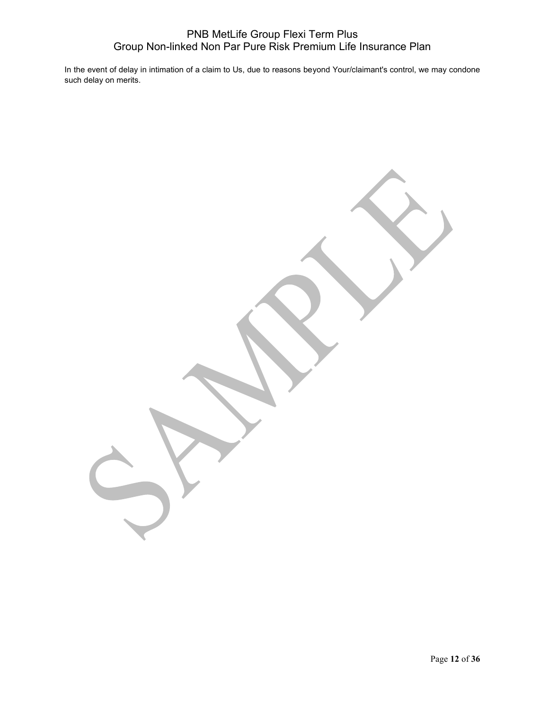In the event of delay in intimation of a claim to Us, due to reasons beyond Your/claimant's control, we may condone such delay on merits.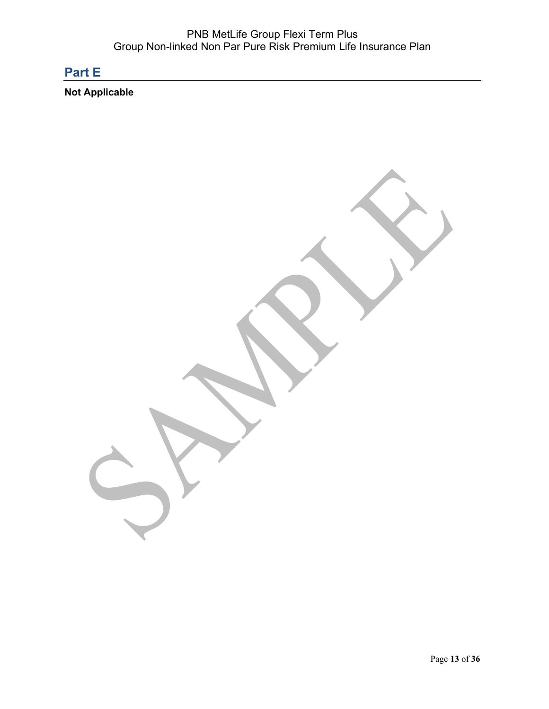# **Part E**

**Not Applicable**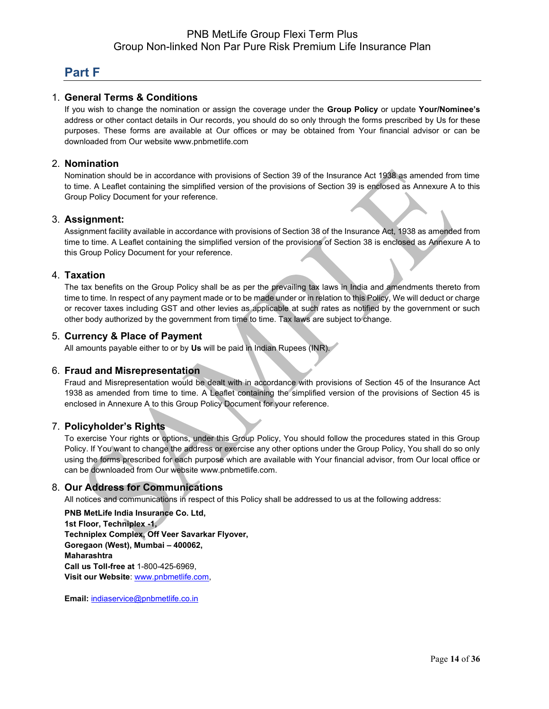# **Part F**

### 1. **General Terms & Conditions**

If you wish to change the nomination or assign the coverage under the **Group Policy** or update **Your/Nominee's** address or other contact details in Our records, you should do so only through the forms prescribed by Us for these purposes. These forms are available at Our offices or may be obtained from Your financial advisor or can be downloaded from Our website [www.pnbmetlife.com](http://www.pnbmetlife.com/)

#### 2. **Nomination**

Nomination should be in accordance with provisions of Section 39 of the Insurance Act 1938 as amended from time to time. A Leaflet containing the simplified version of the provisions of Section 39 is enclosed as Annexure A to this Group Policy Document for your reference.

### 3. **Assignment:**

Assignment facility available in accordance with provisions of Section 38 of the Insurance Act, 1938 as amended from time to time. A Leaflet containing the simplified version of the provisions of Section 38 is enclosed as Annexure A to this Group Policy Document for your reference.

#### 4. **Taxation**

The tax benefits on the Group Policy shall be as per the prevailing tax laws in India and amendments thereto from time to time. In respect of any payment made or to be made under or in relation to this Policy, We will deduct or charge or recover taxes including GST and other levies as applicable at such rates as notified by the government or such other body authorized by the government from time to time. Tax laws are subject to change.

### 5. **Currency & Place of Payment**

All amounts payable either to or by **Us** will be paid in Indian Rupees (INR).

#### 6. **Fraud and Misrepresentation**

Fraud and Misrepresentation would be dealt with in accordance with provisions of Section 45 of the Insurance Act 1938 as amended from time to time. A Leaflet containing the simplified version of the provisions of Section 45 is enclosed in Annexure A to this Group Policy Document for your reference.

#### 7. **Policyholder's Rights**

To exercise Your rights or options, under this Group Policy, You should follow the procedures stated in this Group Policy. If You want to change the address or exercise any other options under the Group Policy, You shall do so only using the forms prescribed for each purpose which are available with Your financial advisor, from Our local office or can be downloaded from Our websit[e www.pnbmetlife.com.](http://www.pnbmetlife.com/)

### 8. **Our Address for Communications**

All notices and communications in respect of this Policy shall be addressed to us at the following address:

**PNB MetLife India Insurance Co. Ltd, 1st Floor, Techniplex -1, Techniplex Complex, Off Veer Savarkar Flyover, Goregaon (West), Mumbai – 400062, Maharashtra Call us Toll-free at** 1-800-425-6969, **Visit our Website**: [www.pnbmetlife.com,](http://www.pnbmetlife.com/)

**Email:** [indiaservice@pnbmetlife.co.in](mailto:indiaservice@pnbmetlife.co.in)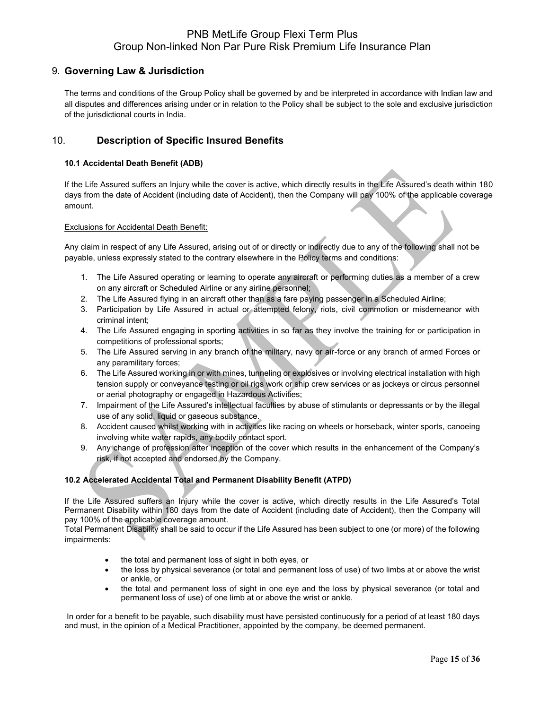### 9. **Governing Law & Jurisdiction**

The terms and conditions of the Group Policy shall be governed by and be interpreted in accordance with Indian law and all disputes and differences arising under or in relation to the Policy shall be subject to the sole and exclusive jurisdiction of the jurisdictional courts in India.

### 10. **Description of Specific Insured Benefits**

#### **10.1 Accidental Death Benefit (ADB)**

If the Life Assured suffers an Injury while the cover is active, which directly results in the Life Assured's death within 180 days from the date of Accident (including date of Accident), then the Company will pay 100% of the applicable coverage amount.

#### Exclusions for Accidental Death Benefit:

Any claim in respect of any Life Assured, arising out of or directly or indirectly due to any of the following shall not be payable, unless expressly stated to the contrary elsewhere in the Policy terms and conditions:

- 1. The Life Assured operating or learning to operate any aircraft or performing duties as a member of a crew on any aircraft or Scheduled Airline or any airline personnel;
- 2. The Life Assured flying in an aircraft other than as a fare paying passenger in a Scheduled Airline;
- 3. Participation by Life Assured in actual or attempted felony, riots, civil commotion or misdemeanor with criminal intent;
- 4. The Life Assured engaging in sporting activities in so far as they involve the training for or participation in competitions of professional sports;
- 5. The Life Assured serving in any branch of the military, navy or air-force or any branch of armed Forces or any paramilitary forces;
- 6. The Life Assured working in or with mines, tunneling or explosives or involving electrical installation with high tension supply or conveyance testing or oil rigs work or ship crew services or as jockeys or circus personnel or aerial photography or engaged in Hazardous Activities;
- 7. Impairment of the Life Assured's intellectual faculties by abuse of stimulants or depressants or by the illegal use of any solid, liquid or gaseous substance.
- 8. Accident caused whilst working with in activities like racing on wheels or horseback, winter sports, canoeing involving white water rapids, any bodily contact sport.
- 9. Any change of profession after inception of the cover which results in the enhancement of the Company's risk, if not accepted and endorsed by the Company.

#### **10.2 Accelerated Accidental Total and Permanent Disability Benefit (ATPD)**

If the Life Assured suffers an Injury while the cover is active, which directly results in the Life Assured's Total Permanent Disability within 180 days from the date of Accident (including date of Accident), then the Company will pay 100% of the applicable coverage amount.

Total Permanent Disability shall be said to occur if the Life Assured has been subject to one (or more) of the following impairments:

- the total and permanent loss of sight in both eyes, or
- the loss by physical severance (or total and permanent loss of use) of two limbs at or above the wrist or ankle, or
- the total and permanent loss of sight in one eye and the loss by physical severance (or total and permanent loss of use) of one limb at or above the wrist or ankle.

In order for a benefit to be payable, such disability must have persisted continuously for a period of at least 180 days and must, in the opinion of a Medical Practitioner, appointed by the company, be deemed permanent.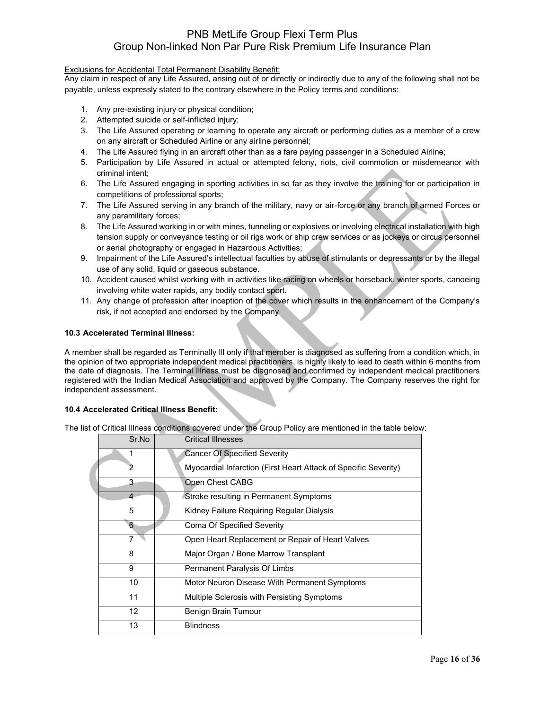#### Exclusions for Accidental Total Permanent Disability Benefit:

Any claim in respect of any Life Assured, arising out of or directly or indirectly due to any of the following shall not be payable, unless expressly stated to the contrary elsewhere in the Policy terms and conditions:

- 1. Any pre-existing injury or physical condition;
- 2. Attempted suicide or self-inflicted injury;
- 3. The Life Assured operating or learning to operate any aircraft or performing duties as a member of a crew on any aircraft or Scheduled Airline or any airline personnel;
- 4. The Life Assured flying in an aircraft other than as a fare paying passenger in a Scheduled Airline;
- 5. Participation by Life Assured in actual or attempted felony, riots, civil commotion or misdemeanor with criminal intent;
- 6. The Life Assured engaging in sporting activities in so far as they involve the training for or participation in competitions of professional sports;
- 7. The Life Assured serving in any branch of the military, navy or air-force or any branch of armed Forces or any paramilitary forces;
- 8. The Life Assured working in or with mines, tunneling or explosives or involving electrical installation with high tension supply or conveyance testing or oil rigs work or ship crew services or as jockeys or circus personnel or aerial photography or engaged in Hazardous Activities;
- 9. Impairment of the Life Assured's intellectual faculties by abuse of stimulants or depressants or by the illegal use of any solid, liquid or gaseous substance.
- 10. Accident caused whilst working with in activities like racing on wheels or horseback, winter sports, canoeing involving white water rapids, any bodily contact sport.
- 11. Any change of profession after inception of the cover which results in the enhancement of the Company's risk, if not accepted and endorsed by the Company

#### **10.3 Accelerated Terminal Illness:**

A member shall be regarded as Terminally Ill only if that member is diagnosed as suffering from a condition which, in the opinion of two appropriate independent medical practitioners, is highly likely to lead to death within 6 months from the date of diagnosis. The Terminal Illness must be diagnosed and confirmed by independent medical practitioners registered with the Indian Medical Association and approved by the Company. The Company reserves the right for independent assessment.

#### **10.4 Accelerated Critical Illness Benefit:**

The list of Critical Illness conditions covered under the Group Policy are mentioned in the table below:

| Sr.No          | <b>Critical Illnesses</b>                                       |
|----------------|-----------------------------------------------------------------|
| 1              | <b>Cancer Of Specified Severity</b>                             |
| 2              | Myocardial Infarction (First Heart Attack of Specific Severity) |
| 3              | Open Chest CABG                                                 |
| $\overline{4}$ | Stroke resulting in Permanent Symptoms                          |
| 5              | Kidney Failure Requiring Regular Dialysis                       |
| 6              | <b>Coma Of Specified Severity</b>                               |
|                | Open Heart Replacement or Repair of Heart Valves                |
| 8              | Major Organ / Bone Marrow Transplant                            |
| 9              | Permanent Paralysis Of Limbs                                    |
| 10             | Motor Neuron Disease With Permanent Symptoms                    |
| 11             | Multiple Sclerosis with Persisting Symptoms                     |
| 12             | Benign Brain Tumour                                             |
| 13             | <b>Blindness</b>                                                |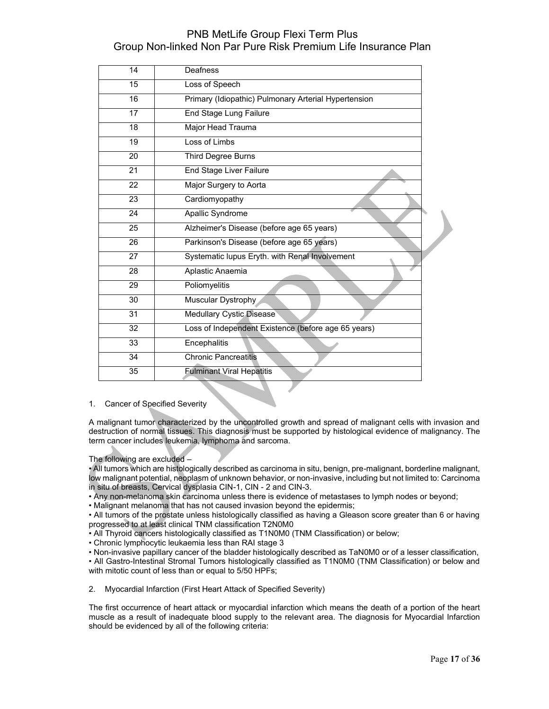| 14 | Deafness                                             |
|----|------------------------------------------------------|
| 15 | Loss of Speech                                       |
| 16 | Primary (Idiopathic) Pulmonary Arterial Hypertension |
| 17 | End Stage Lung Failure                               |
| 18 | Major Head Trauma                                    |
| 19 | Loss of Limbs                                        |
| 20 | Third Degree Burns                                   |
| 21 | End Stage Liver Failure                              |
| 22 | Major Surgery to Aorta                               |
| 23 | Cardiomyopathy                                       |
| 24 | Apallic Syndrome                                     |
| 25 | Alzheimer's Disease (before age 65 years)            |
| 26 | Parkinson's Disease (before age 65 years)            |
| 27 | Systematic lupus Eryth. with Renal Involvement       |
| 28 | Aplastic Anaemia                                     |
| 29 | Poliomyelitis                                        |
| 30 | Muscular Dystrophy                                   |
| 31 | <b>Medullary Cystic Disease</b>                      |
| 32 | Loss of Independent Existence (before age 65 years)  |
| 33 | Encephalitis                                         |
| 34 | <b>Chronic Pancreatitis</b>                          |
| 35 | <b>Fulminant Viral Hepatitis</b>                     |

#### 1. Cancer of Specified Severity

A malignant tumor characterized by the uncontrolled growth and spread of malignant cells with invasion and destruction of normal tissues. This diagnosis must be supported by histological evidence of malignancy. The term cancer includes leukemia, lymphoma and sarcoma.

The following are excluded –

• All tumors which are histologically described as carcinoma in situ, benign, pre-malignant, borderline malignant, low malignant potential, neoplasm of unknown behavior, or non-invasive, including but not limited to: Carcinoma in situ of breasts, Cervical dysplasia CIN-1, CIN - 2 and CIN-3.

• Any non-melanoma skin carcinoma unless there is evidence of metastases to lymph nodes or beyond;

• Malignant melanoma that has not caused invasion beyond the epidermis;

• All tumors of the prostate unless histologically classified as having a Gleason score greater than 6 or having progressed to at least clinical TNM classification T2N0M0

• All Thyroid cancers histologically classified as T1N0M0 (TNM Classification) or below;

• Chronic lymphocytic leukaemia less than RAI stage 3

• Non-invasive papillary cancer of the bladder histologically described as TaN0M0 or of a lesser classification, • All Gastro-Intestinal Stromal Tumors histologically classified as T1N0M0 (TNM Classification) or below and with mitotic count of less than or equal to 5/50 HPFs;

2. Myocardial Infarction (First Heart Attack of Specified Severity)

The first occurrence of heart attack or myocardial infarction which means the death of a portion of the heart muscle as a result of inadequate blood supply to the relevant area. The diagnosis for Myocardial Infarction should be evidenced by all of the following criteria: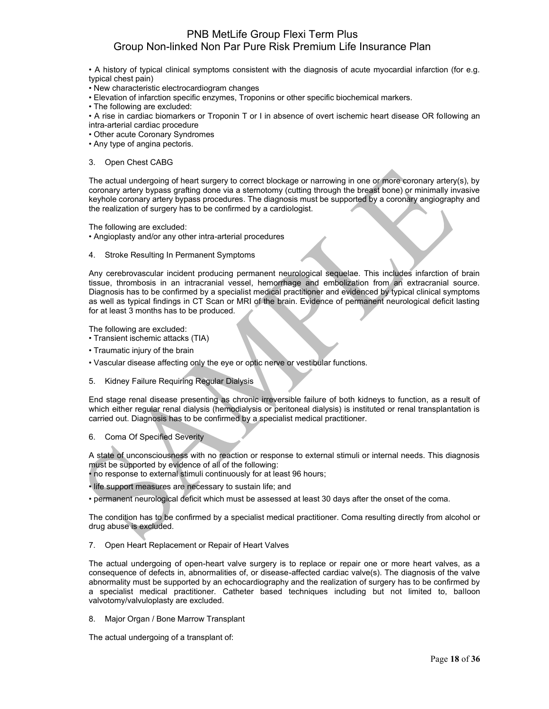• A history of typical clinical symptoms consistent with the diagnosis of acute myocardial infarction (for e.g. typical chest pain)

• New characteristic electrocardiogram changes

• Elevation of infarction specific enzymes, Troponins or other specific biochemical markers.

• The following are excluded:

• A rise in cardiac biomarkers or Troponin T or I in absence of overt ischemic heart disease OR following an intra-arterial cardiac procedure

- Other acute Coronary Syndromes
- Any type of angina pectoris.

#### 3. Open Chest CABG

The actual undergoing of heart surgery to correct blockage or narrowing in one or more coronary artery(s), by coronary artery bypass grafting done via a sternotomy (cutting through the breast bone) or minimally invasive keyhole coronary artery bypass procedures. The diagnosis must be supported by a coronary angiography and the realization of surgery has to be confirmed by a cardiologist.

The following are excluded:

• Angioplasty and/or any other intra-arterial procedures

4. Stroke Resulting In Permanent Symptoms

Any cerebrovascular incident producing permanent neurological sequelae. This includes infarction of brain tissue, thrombosis in an intracranial vessel, hemorrhage and embolization from an extracranial source. Diagnosis has to be confirmed by a specialist medical practitioner and evidenced by typical clinical symptoms as well as typical findings in CT Scan or MRI of the brain. Evidence of permanent neurological deficit lasting for at least 3 months has to be produced.

The following are excluded:

- Transient ischemic attacks (TIA)
- Traumatic injury of the brain
- Vascular disease affecting only the eye or optic nerve or vestibular functions.
- 5. Kidney Failure Requiring Regular Dialysis

End stage renal disease presenting as chronic irreversible failure of both kidneys to function, as a result of which either regular renal dialysis (hemodialysis or peritoneal dialysis) is instituted or renal transplantation is carried out. Diagnosis has to be confirmed by a specialist medical practitioner.

6. Coma Of Specified Severity

A state of unconsciousness with no reaction or response to external stimuli or internal needs. This diagnosis must be supported by evidence of all of the following:

- no response to external stimuli continuously for at least 96 hours;
- life support measures are necessary to sustain life; and
- permanent neurological deficit which must be assessed at least 30 days after the onset of the coma.

The condition has to be confirmed by a specialist medical practitioner. Coma resulting directly from alcohol or drug abuse is excluded.

7. Open Heart Replacement or Repair of Heart Valves

The actual undergoing of open-heart valve surgery is to replace or repair one or more heart valves, as a consequence of defects in, abnormalities of, or disease-affected cardiac valve(s). The diagnosis of the valve abnormality must be supported by an echocardiography and the realization of surgery has to be confirmed by a specialist medical practitioner. Catheter based techniques including but not limited to, balloon valvotomy/valvuloplasty are excluded.

8. Major Organ / Bone Marrow Transplant

The actual undergoing of a transplant of: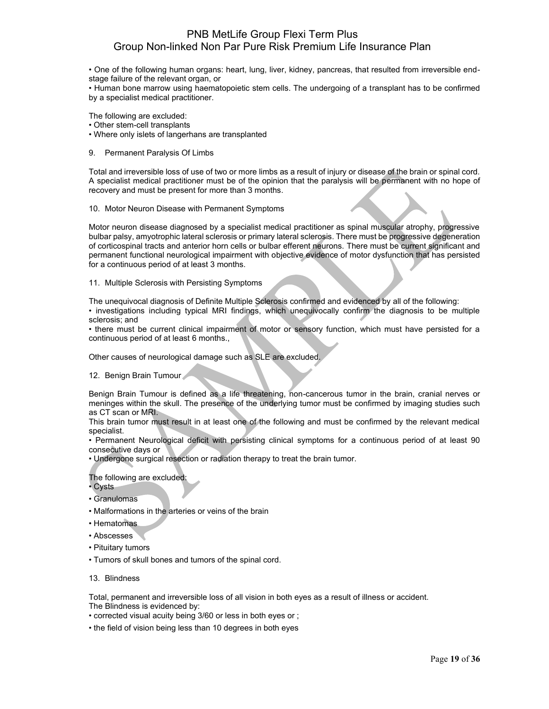• One of the following human organs: heart, lung, liver, kidney, pancreas, that resulted from irreversible endstage failure of the relevant organ, or

• Human bone marrow using haematopoietic stem cells. The undergoing of a transplant has to be confirmed by a specialist medical practitioner.

The following are excluded:

• Other stem-cell transplants

- Where only islets of langerhans are transplanted
- 9. Permanent Paralysis Of Limbs

Total and irreversible loss of use of two or more limbs as a result of injury or disease of the brain or spinal cord. A specialist medical practitioner must be of the opinion that the paralysis will be permanent with no hope of recovery and must be present for more than 3 months.

#### 10. Motor Neuron Disease with Permanent Symptoms

Motor neuron disease diagnosed by a specialist medical practitioner as spinal muscular atrophy, progressive bulbar palsy, amyotrophic lateral sclerosis or primary lateral sclerosis. There must be progressive degeneration of corticospinal tracts and anterior horn cells or bulbar efferent neurons. There must be current significant and permanent functional neurological impairment with objective evidence of motor dysfunction that has persisted for a continuous period of at least 3 months.

11. Multiple Sclerosis with Persisting Symptoms

The unequivocal diagnosis of Definite Multiple Sclerosis confirmed and evidenced by all of the following:

• investigations including typical MRI findings, which unequivocally confirm the diagnosis to be multiple sclerosis; and

• there must be current clinical impairment of motor or sensory function, which must have persisted for a continuous period of at least 6 months.,

Other causes of neurological damage such as SLE are excluded.

12. Benign Brain Tumour

Benign Brain Tumour is defined as a life threatening, non-cancerous tumor in the brain, cranial nerves or meninges within the skull. The presence of the underlying tumor must be confirmed by imaging studies such as CT scan or MRI.

This brain tumor must result in at least one of the following and must be confirmed by the relevant medical specialist.

• Permanent Neurological deficit with persisting clinical symptoms for a continuous period of at least 90 consecutive days or

• Undergone surgical resection or radiation therapy to treat the brain tumor.

The following are excluded:

- Cysts
- Granulomas
- Malformations in the arteries or veins of the brain
- Hematomas
- Abscesses
- Pituitary tumors
- Tumors of skull bones and tumors of the spinal cord.
- 13. Blindness

Total, permanent and irreversible loss of all vision in both eyes as a result of illness or accident. The Blindness is evidenced by:

- corrected visual acuity being 3/60 or less in both eyes or ;
- the field of vision being less than 10 degrees in both eyes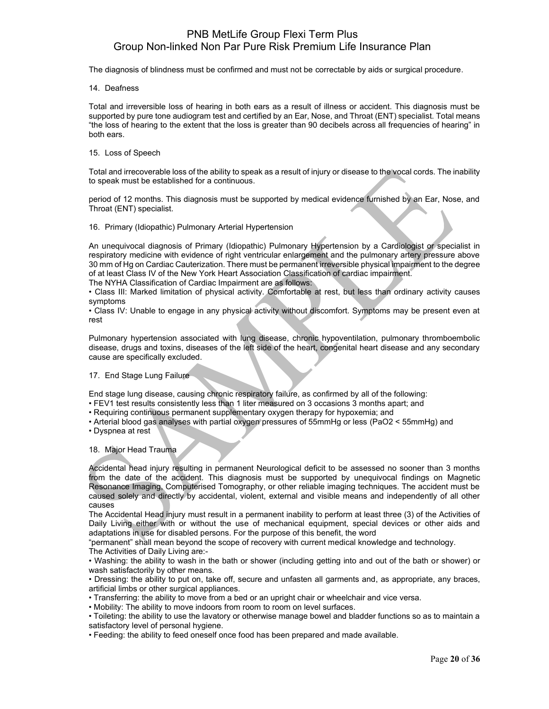The diagnosis of blindness must be confirmed and must not be correctable by aids or surgical procedure.

14. Deafness

Total and irreversible loss of hearing in both ears as a result of illness or accident. This diagnosis must be supported by pure tone audiogram test and certified by an Ear, Nose, and Throat (ENT) specialist. Total means "the loss of hearing to the extent that the loss is greater than 90 decibels across all frequencies of hearing" in both ears.

15. Loss of Speech

Total and irrecoverable loss of the ability to speak as a result of injury or disease to the vocal cords. The inability to speak must be established for a continuous.

period of 12 months. This diagnosis must be supported by medical evidence furnished by an Ear, Nose, and Throat (ENT) specialist.

16. Primary (Idiopathic) Pulmonary Arterial Hypertension

An unequivocal diagnosis of Primary (Idiopathic) Pulmonary Hypertension by a Cardiologist or specialist in respiratory medicine with evidence of right ventricular enlargement and the pulmonary artery pressure above 30 mm of Hg on Cardiac Cauterization. There must be permanent irreversible physical impairment to the degree of at least Class IV of the New York Heart Association Classification of cardiac impairment. The NYHA Classification of Cardiac Impairment are as follows:

• Class III: Marked limitation of physical activity. Comfortable at rest, but less than ordinary activity causes symptoms

• Class IV: Unable to engage in any physical activity without discomfort. Symptoms may be present even at rest

Pulmonary hypertension associated with lung disease, chronic hypoventilation, pulmonary thromboembolic disease, drugs and toxins, diseases of the left side of the heart, congenital heart disease and any secondary cause are specifically excluded.

#### 17. End Stage Lung Failure

End stage lung disease, causing chronic respiratory failure, as confirmed by all of the following:

- FEV1 test results consistently less than 1 liter measured on 3 occasions 3 months apart; and
- Requiring continuous permanent supplementary oxygen therapy for hypoxemia; and
- Arterial blood gas analyses with partial oxygen pressures of 55mmHg or less (PaO2 < 55mmHg) and
- Dyspnea at rest

#### 18. Major Head Trauma

Accidental head injury resulting in permanent Neurological deficit to be assessed no sooner than 3 months from the date of the accident. This diagnosis must be supported by unequivocal findings on Magnetic Resonance Imaging, Computerised Tomography, or other reliable imaging techniques. The accident must be caused solely and directly by accidental, violent, external and visible means and independently of all other causes

The Accidental Head injury must result in a permanent inability to perform at least three (3) of the Activities of Daily Living either with or without the use of mechanical equipment, special devices or other aids and adaptations in use for disabled persons. For the purpose of this benefit, the word

"permanent" shall mean beyond the scope of recovery with current medical knowledge and technology. The Activities of Daily Living are:-

• Washing: the ability to wash in the bath or shower (including getting into and out of the bath or shower) or wash satisfactorily by other means.

• Dressing: the ability to put on, take off, secure and unfasten all garments and, as appropriate, any braces, artificial limbs or other surgical appliances.

• Transferring: the ability to move from a bed or an upright chair or wheelchair and vice versa.

• Mobility: The ability to move indoors from room to room on level surfaces.

• Toileting: the ability to use the lavatory or otherwise manage bowel and bladder functions so as to maintain a satisfactory level of personal hygiene.

• Feeding: the ability to feed oneself once food has been prepared and made available.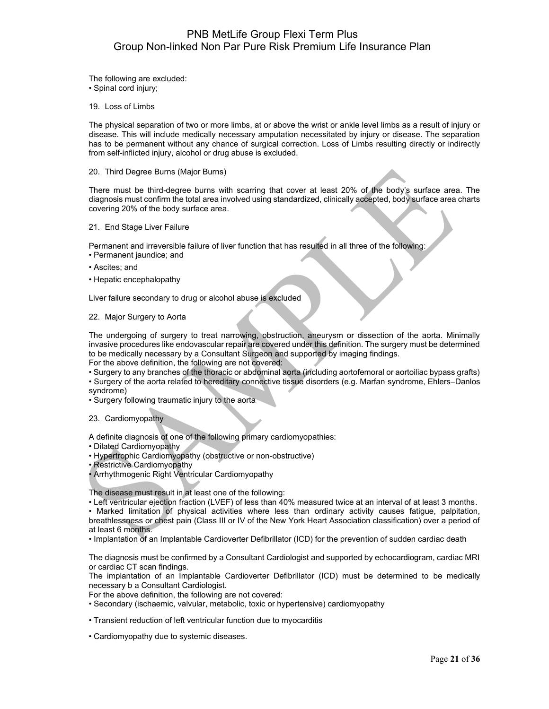The following are excluded: • Spinal cord injury;

19. Loss of Limbs

The physical separation of two or more limbs, at or above the wrist or ankle level limbs as a result of injury or disease. This will include medically necessary amputation necessitated by injury or disease. The separation has to be permanent without any chance of surgical correction. Loss of Limbs resulting directly or indirectly from self-inflicted injury, alcohol or drug abuse is excluded.

#### 20. Third Degree Burns (Major Burns)

There must be third-degree burns with scarring that cover at least 20% of the body's surface area. The diagnosis must confirm the total area involved using standardized, clinically accepted, body surface area charts covering 20% of the body surface area.

#### 21. End Stage Liver Failure

Permanent and irreversible failure of liver function that has resulted in all three of the following:

- Permanent jaundice; and
- Ascites; and
- Hepatic encephalopathy

Liver failure secondary to drug or alcohol abuse is excluded

#### 22. Major Surgery to Aorta

The undergoing of surgery to treat narrowing, obstruction, aneurysm or dissection of the aorta. Minimally invasive procedures like endovascular repair are covered under this definition. The surgery must be determined to be medically necessary by a Consultant Surgeon and supported by imaging findings.

For the above definition, the following are not covered:

• Surgery to any branches of the thoracic or abdominal aorta (including aortofemoral or aortoiliac bypass grafts)

• Surgery of the aorta related to hereditary connective tissue disorders (e.g. Marfan syndrome, Ehlers–Danlos syndrome)

• Surgery following traumatic injury to the aorta

23. Cardiomyopathy

A definite diagnosis of one of the following primary cardiomyopathies:

• Dilated Cardiomyopathy

• Hypertrophic Cardiomyopathy (obstructive or non-obstructive)

• Restrictive Cardiomyopathy

• Arrhythmogenic Right Ventricular Cardiomyopathy

The disease must result in at least one of the following:

• Left ventricular ejection fraction (LVEF) of less than 40% measured twice at an interval of at least 3 months.

• Marked limitation of physical activities where less than ordinary activity causes fatigue, palpitation, breathlessness or chest pain (Class III or IV of the New York Heart Association classification) over a period of at least 6 months.

• Implantation of an Implantable Cardioverter Defibrillator (ICD) for the prevention of sudden cardiac death

The diagnosis must be confirmed by a Consultant Cardiologist and supported by echocardiogram, cardiac MRI or cardiac CT scan findings.

The implantation of an Implantable Cardioverter Defibrillator (ICD) must be determined to be medically necessary b a Consultant Cardiologist.

For the above definition, the following are not covered:

• Secondary (ischaemic, valvular, metabolic, toxic or hypertensive) cardiomyopathy

• Transient reduction of left ventricular function due to myocarditis

• Cardiomyopathy due to systemic diseases.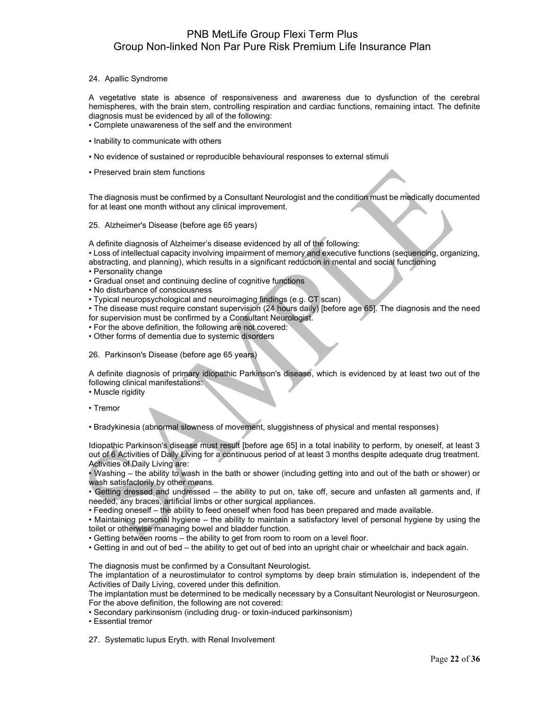#### 24. Apallic Syndrome

A vegetative state is absence of responsiveness and awareness due to dysfunction of the cerebral hemispheres, with the brain stem, controlling respiration and cardiac functions, remaining intact. The definite diagnosis must be evidenced by all of the following:

- Complete unawareness of the self and the environment
- Inability to communicate with others
- No evidence of sustained or reproducible behavioural responses to external stimuli
- Preserved brain stem functions

The diagnosis must be confirmed by a Consultant Neurologist and the condition must be medically documented for at least one month without any clinical improvement.

25. Alzheimer's Disease (before age 65 years)

A definite diagnosis of Alzheimer's disease evidenced by all of the following:

• Loss of intellectual capacity involving impairment of memory and executive functions (sequencing, organizing, abstracting, and planning), which results in a significant reduction in mental and social functioning

- Personality change
- Gradual onset and continuing decline of cognitive functions
- No disturbance of consciousness

• Typical neuropsychological and neuroimaging findings (e.g. CT scan)

• The disease must require constant supervision (24 hours daily) [before age 65]. The diagnosis and the need for supervision must be confirmed by a Consultant Neurologist.

- For the above definition, the following are not covered:
- Other forms of dementia due to systemic disorders
- 26. Parkinson's Disease (before age 65 years)

A definite diagnosis of primary idiopathic Parkinson's disease, which is evidenced by at least two out of the following clinical manifestations:

- Muscle rigidity
- Tremor

• Bradykinesia (abnormal slowness of movement, sluggishness of physical and mental responses)

Idiopathic Parkinson's disease must result [before age 65] in a total inability to perform, by oneself, at least 3 out of 6 Activities of Daily Living for a continuous period of at least 3 months despite adequate drug treatment. Activities of Daily Living are:

• Washing – the ability to wash in the bath or shower (including getting into and out of the bath or shower) or wash satisfactorily by other means.

• Getting dressed and undressed – the ability to put on, take off, secure and unfasten all garments and, if needed, any braces, artificial limbs or other surgical appliances.

• Feeding oneself – the ability to feed oneself when food has been prepared and made available.

• Maintaining personal hygiene – the ability to maintain a satisfactory level of personal hygiene by using the toilet or otherwise managing bowel and bladder function.

• Getting between rooms – the ability to get from room to room on a level floor.

• Getting in and out of bed – the ability to get out of bed into an upright chair or wheelchair and back again.

The diagnosis must be confirmed by a Consultant Neurologist.

The implantation of a neurostimulator to control symptoms by deep brain stimulation is, independent of the Activities of Daily Living, covered under this definition.

The implantation must be determined to be medically necessary by a Consultant Neurologist or Neurosurgeon. For the above definition, the following are not covered:

• Secondary parkinsonism (including drug- or toxin-induced parkinsonism)

• Essential tremor

27. Systematic lupus Eryth. with Renal Involvement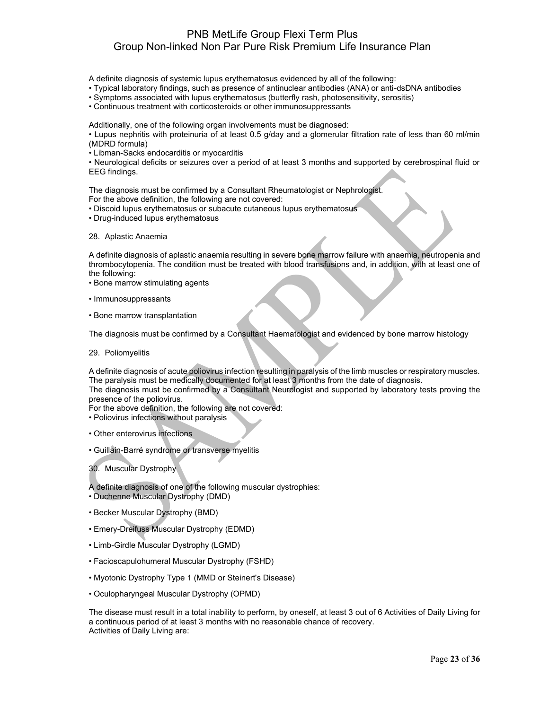A definite diagnosis of systemic lupus erythematosus evidenced by all of the following:

- Typical laboratory findings, such as presence of antinuclear antibodies (ANA) or anti-dsDNA antibodies
- Symptoms associated with lupus erythematosus (butterfly rash, photosensitivity, serositis)
- Continuous treatment with corticosteroids or other immunosuppressants

Additionally, one of the following organ involvements must be diagnosed:

• Lupus nephritis with proteinuria of at least 0.5 g/day and a glomerular filtration rate of less than 60 ml/min (MDRD formula)

• Libman-Sacks endocarditis or myocarditis

• Neurological deficits or seizures over a period of at least 3 months and supported by cerebrospinal fluid or EEG findings.

The diagnosis must be confirmed by a Consultant Rheumatologist or Nephrologist.

- For the above definition, the following are not covered:
- Discoid lupus erythematosus or subacute cutaneous lupus erythematosus
- Drug-induced lupus erythematosus
- 28. Aplastic Anaemia

A definite diagnosis of aplastic anaemia resulting in severe bone marrow failure with anaemia, neutropenia and thrombocytopenia. The condition must be treated with blood transfusions and, in addition, with at least one of the following:

- Bone marrow stimulating agents
- Immunosuppressants
- Bone marrow transplantation

The diagnosis must be confirmed by a Consultant Haematologist and evidenced by bone marrow histology

29. Poliomyelitis

A definite diagnosis of acute poliovirus infection resulting in paralysis of the limb muscles or respiratory muscles. The paralysis must be medically documented for at least 3 months from the date of diagnosis.

The diagnosis must be confirmed by a Consultant Neurologist and supported by laboratory tests proving the presence of the poliovirus.

For the above definition, the following are not covered:

- Poliovirus infections without paralysis
- Other enterovirus infections
- Guillain-Barré syndrome or transverse myelitis

30. Muscular Dystrophy

A definite diagnosis of one of the following muscular dystrophies:

- Duchenne Muscular Dystrophy (DMD)
- Becker Muscular Dystrophy (BMD)
- Emery-Dreifuss Muscular Dystrophy (EDMD)
- Limb-Girdle Muscular Dystrophy (LGMD)
- Facioscapulohumeral Muscular Dystrophy (FSHD)
- Myotonic Dystrophy Type 1 (MMD or Steinert's Disease)
- Oculopharyngeal Muscular Dystrophy (OPMD)

The disease must result in a total inability to perform, by oneself, at least 3 out of 6 Activities of Daily Living for a continuous period of at least 3 months with no reasonable chance of recovery. Activities of Daily Living are: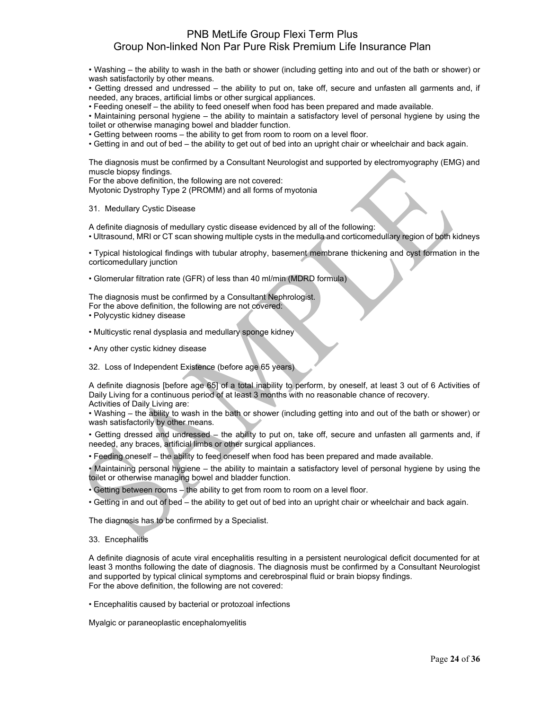• Washing – the ability to wash in the bath or shower (including getting into and out of the bath or shower) or wash satisfactorily by other means.

• Getting dressed and undressed – the ability to put on, take off, secure and unfasten all garments and, if needed, any braces, artificial limbs or other surgical appliances.

• Feeding oneself – the ability to feed oneself when food has been prepared and made available.

• Maintaining personal hygiene – the ability to maintain a satisfactory level of personal hygiene by using the toilet or otherwise managing bowel and bladder function.

• Getting between rooms – the ability to get from room to room on a level floor.

• Getting in and out of bed – the ability to get out of bed into an upright chair or wheelchair and back again.

The diagnosis must be confirmed by a Consultant Neurologist and supported by electromyography (EMG) and muscle biopsy findings.

For the above definition, the following are not covered:

Myotonic Dystrophy Type 2 (PROMM) and all forms of myotonia

#### 31. Medullary Cystic Disease

A definite diagnosis of medullary cystic disease evidenced by all of the following: • Ultrasound, MRI or CT scan showing multiple cysts in the medulla and corticomedullary region of both kidneys

• Typical histological findings with tubular atrophy, basement membrane thickening and cyst formation in the corticomedullary junction

• Glomerular filtration rate (GFR) of less than 40 ml/min (MDRD formula)

The diagnosis must be confirmed by a Consultant Nephrologist. For the above definition, the following are not covered:

- Polycystic kidney disease
- Multicystic renal dysplasia and medullary sponge kidney
- Any other cystic kidney disease

32. Loss of Independent Existence (before age 65 years)

A definite diagnosis [before age 65] of a total inability to perform, by oneself, at least 3 out of 6 Activities of Daily Living for a continuous period of at least 3 months with no reasonable chance of recovery. Activities of Daily Living are:

• Washing – the ability to wash in the bath or shower (including getting into and out of the bath or shower) or wash satisfactorily by other means.

• Getting dressed and undressed – the ability to put on, take off, secure and unfasten all garments and, if needed, any braces, artificial limbs or other surgical appliances.

• Feeding oneself – the ability to feed oneself when food has been prepared and made available.

• Maintaining personal hygiene – the ability to maintain a satisfactory level of personal hygiene by using the toilet or otherwise managing bowel and bladder function.

• Getting between rooms – the ability to get from room to room on a level floor.

• Getting in and out of bed – the ability to get out of bed into an upright chair or wheelchair and back again.

The diagnosis has to be confirmed by a Specialist.

#### 33. Encephalitis

A definite diagnosis of acute viral encephalitis resulting in a persistent neurological deficit documented for at least 3 months following the date of diagnosis. The diagnosis must be confirmed by a Consultant Neurologist and supported by typical clinical symptoms and cerebrospinal fluid or brain biopsy findings. For the above definition, the following are not covered:

• Encephalitis caused by bacterial or protozoal infections

Myalgic or paraneoplastic encephalomyelitis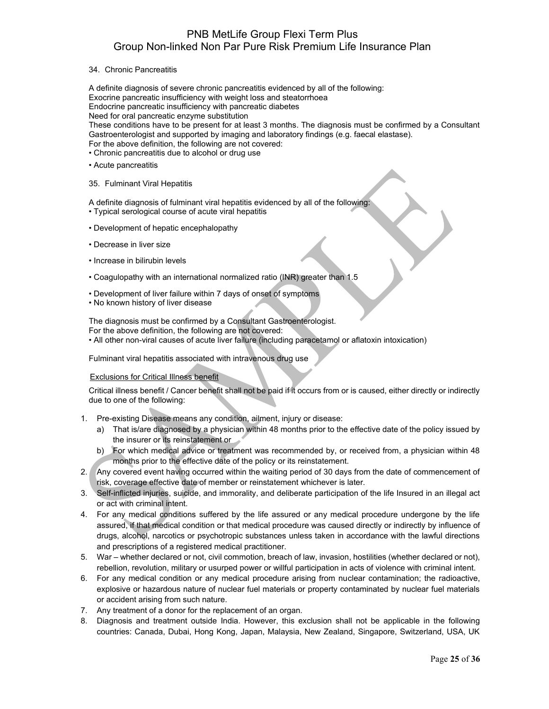#### 34. Chronic Pancreatitis

A definite diagnosis of severe chronic pancreatitis evidenced by all of the following: Exocrine pancreatic insufficiency with weight loss and steatorrhoea Endocrine pancreatic insufficiency with pancreatic diabetes Need for oral pancreatic enzyme substitution

These conditions have to be present for at least 3 months. The diagnosis must be confirmed by a Consultant Gastroenterologist and supported by imaging and laboratory findings (e.g. faecal elastase). For the above definition, the following are not covered:

- Chronic pancreatitis due to alcohol or drug use
- Acute pancreatitis
- 35. Fulminant Viral Hepatitis

A definite diagnosis of fulminant viral hepatitis evidenced by all of the following:

- Typical serological course of acute viral hepatitis
- Development of hepatic encephalopathy
- Decrease in liver size
- Increase in bilirubin levels
- Coagulopathy with an international normalized ratio (INR) greater than 1.5
- Development of liver failure within 7 days of onset of symptoms
- No known history of liver disease

The diagnosis must be confirmed by a Consultant Gastroenterologist. For the above definition, the following are not covered: • All other non-viral causes of acute liver failure (including paracetamol or aflatoxin intoxication)

Fulminant viral hepatitis associated with intravenous drug use

#### Exclusions for Critical Illness benefit

Critical illness benefit / Cancer benefit shall not be paid if it occurs from or is caused, either directly or indirectly due to one of the following:

- 1. Pre-existing Disease means any condition, ailment, injury or disease:
	- a) That is/are diagnosed by a physician within 48 months prior to the effective date of the policy issued by the insurer or its reinstatement or
	- b) For which medical advice or treatment was recommended by, or received from, a physician within 48 months prior to the effective date of the policy or its reinstatement.
- 2. Any covered event having occurred within the waiting period of 30 days from the date of commencement of risk, coverage effective date of member or reinstatement whichever is later.
- 3. Self-inflicted injuries, suicide, and immorality, and deliberate participation of the life Insured in an illegal act or act with criminal intent.
- 4. For any medical conditions suffered by the life assured or any medical procedure undergone by the life assured, if that medical condition or that medical procedure was caused directly or indirectly by influence of drugs, alcohol, narcotics or psychotropic substances unless taken in accordance with the lawful directions and prescriptions of a registered medical practitioner.
- 5. War whether declared or not, civil commotion, breach of law, invasion, hostilities (whether declared or not), rebellion, revolution, military or usurped power or willful participation in acts of violence with criminal intent.
- 6. For any medical condition or any medical procedure arising from nuclear contamination; the radioactive, explosive or hazardous nature of nuclear fuel materials or property contaminated by nuclear fuel materials or accident arising from such nature.
- 7. Any treatment of a donor for the replacement of an organ.
- 8. Diagnosis and treatment outside India. However, this exclusion shall not be applicable in the following countries: Canada, Dubai, Hong Kong, Japan, Malaysia, New Zealand, Singapore, Switzerland, USA, UK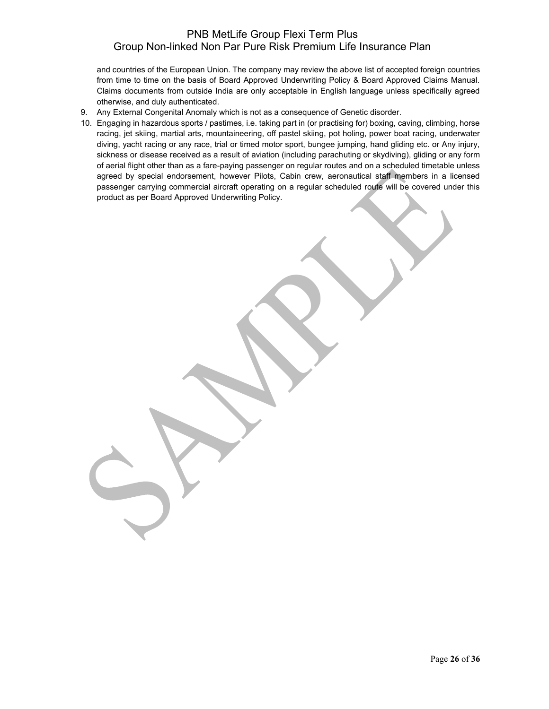and countries of the European Union. The company may review the above list of accepted foreign countries from time to time on the basis of Board Approved Underwriting Policy & Board Approved Claims Manual. Claims documents from outside India are only acceptable in English language unless specifically agreed otherwise, and duly authenticated.

- 9. Any External Congenital Anomaly which is not as a consequence of Genetic disorder.
- 10. Engaging in hazardous sports / pastimes, i.e. taking part in (or practising for) boxing, caving, climbing, horse racing, jet skiing, martial arts, mountaineering, off pastel skiing, pot holing, power boat racing, underwater diving, yacht racing or any race, trial or timed motor sport, bungee jumping, hand gliding etc. or Any injury, sickness or disease received as a result of aviation (including parachuting or skydiving), gliding or any form of aerial flight other than as a fare-paying passenger on regular routes and on a scheduled timetable unless agreed by special endorsement, however Pilots, Cabin crew, aeronautical staff members in a licensed passenger carrying commercial aircraft operating on a regular scheduled route will be covered under this product as per Board Approved Underwriting Policy.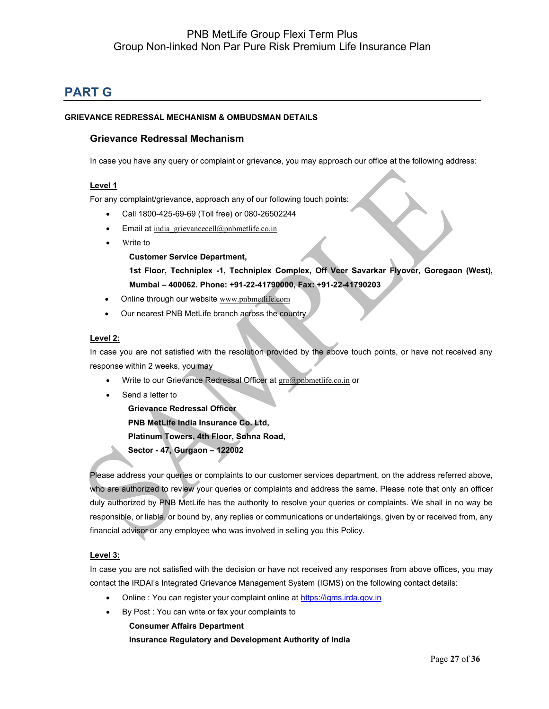# **PART G**

### **GRIEVANCE REDRESSAL MECHANISM & OMBUDSMAN DETAILS**

### **Grievance Redressal Mechanism**

In case you have any query or complaint or grievance, you may approach our office at the following address:

#### **Level 1**

For any complaint/grievance, approach any of our following touch points:

- Call 1800-425-69-69 (Toll free) or 080-26502244
- Email at india grievancecell@pnbmetlife.co.in
- Write to

**Customer Service Department,** 

**1st Floor, Techniplex -1, Techniplex Complex, Off Veer Savarkar Flyover, Goregaon (West), Mumbai – 400062. Phone: +91-22-41790000, Fax: +91-22-41790203**

- Online through our website [www.pnbmetlife.com](http://www.pnbmetlife.com/)
- Our nearest PNB MetLife branch across the country

#### **Level 2:**

In case you are not satisfied with the resolution provided by the above touch points, or have not received any response within 2 weeks, you may

- Write to our Grievance Redressal Officer at [gro@pnbmetlife.co.in](mailto:gro@pnbmetlife.co.in) or
- Send a letter to

**Grievance Redressal Officer PNB MetLife India Insurance Co. Ltd, Platinum Towers, 4th Floor, Sohna Road, Sector - 47, Gurgaon – 122002**

Please address your queries or complaints to our customer services department, on the address referred above, who are authorized to review your queries or complaints and address the same. Please note that only an officer duly authorized by PNB MetLife has the authority to resolve your queries or complaints. We shall in no way be responsible, or liable, or bound by, any replies or communications or undertakings, given by or received from, any financial advisor or any employee who was involved in selling you this Policy.

#### **Level 3:**

In case you are not satisfied with the decision or have not received any responses from above offices, you may contact the IRDAI's Integrated Grievance Management System (IGMS) on the following contact details:

- Online : You can register your complaint online at [https://igms.irda.gov.in](https://igms.irda.gov.in/)
- By Post : You can write or fax your complaints to **Consumer Affairs Department Insurance Regulatory and Development Authority of India**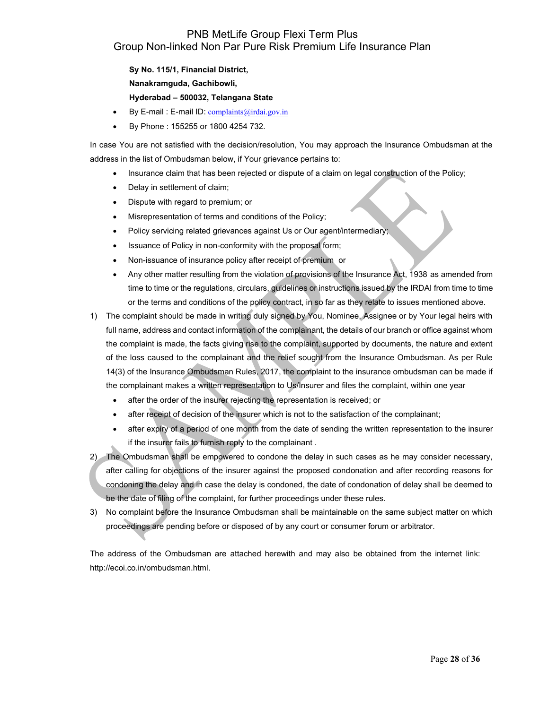**Sy No. 115/1, Financial District, Nanakramguda, Gachibowli, Hyderabad – 500032, Telangana State**

- By E-mail : E-mail ID: [complaints@irdai.gov.in](mailto:complaints@irdai.gov.in)
- By Phone : 155255 or 1800 4254 732.

In case You are not satisfied with the decision/resolution, You may approach the Insurance Ombudsman at the address in the list of Ombudsman below, if Your grievance pertains to:

- Insurance claim that has been rejected or dispute of a claim on legal construction of the Policy;
- Delay in settlement of claim;
- Dispute with regard to premium; or
- Misrepresentation of terms and conditions of the Policy;
- Policy servicing related grievances against Us or Our agent/intermediary;
- Issuance of Policy in non-conformity with the proposal form;
- Non-issuance of insurance policy after receipt of premium or
- Any other matter resulting from the violation of provisions of the Insurance Act, 1938 as amended from time to time or the regulations, circulars, guidelines or instructions issued by the IRDAI from time to time or the terms and conditions of the policy contract, in so far as they relate to issues mentioned above.
- 1) The complaint should be made in writing duly signed by You, Nominee, Assignee or by Your legal heirs with full name, address and contact information of the complainant, the details of our branch or office against whom the complaint is made, the facts giving rise to the complaint, supported by documents, the nature and extent of the loss caused to the complainant and the relief sought from the Insurance Ombudsman. As per Rule 14(3) of the Insurance Ombudsman Rules, 2017, the complaint to the insurance ombudsman can be made if the complainant makes a written representation to Us/Insurer and files the complaint, within one year
	- after the order of the insurer rejecting the representation is received; or
	- after receipt of decision of the insurer which is not to the satisfaction of the complainant;
	- after expiry of a period of one month from the date of sending the written representation to the insurer if the insurer fails to furnish reply to the complainant .
- 2) The Ombudsman shall be empowered to condone the delay in such cases as he may consider necessary, after calling for objections of the insurer against the proposed condonation and after recording reasons for condoning the delay and in case the delay is condoned, the date of condonation of delay shall be deemed to be the date of filing of the complaint, for further proceedings under these rules.
- 3) No complaint before the Insurance Ombudsman shall be maintainable on the same subject matter on which proceedings are pending before or disposed of by any court or consumer forum or arbitrator.

The address of the Ombudsman are attached herewith and may also be obtained from the internet link: http://ecoi.co.in/ombudsman.html.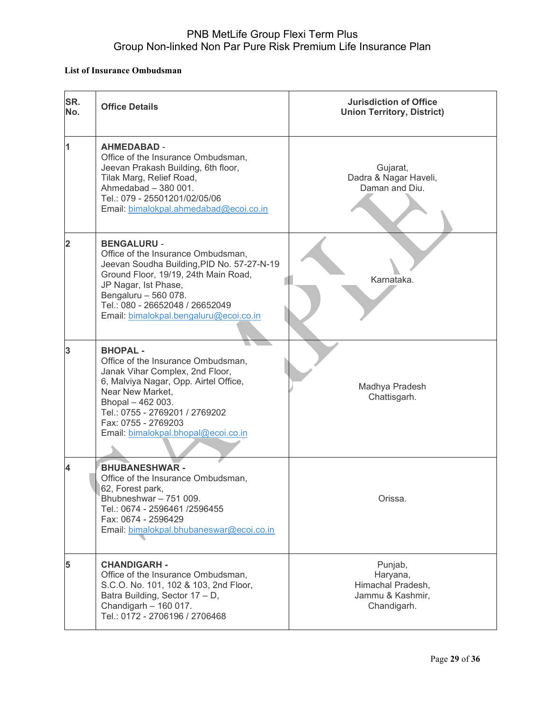### **List of Insurance Ombudsman**

| SR.<br>No. | <b>Office Details</b>                                                                                                                                                                                                                                                       | <b>Jurisdiction of Office</b><br><b>Union Territory, District)</b>          |
|------------|-----------------------------------------------------------------------------------------------------------------------------------------------------------------------------------------------------------------------------------------------------------------------------|-----------------------------------------------------------------------------|
| 1          | <b>AHMEDABAD -</b><br>Office of the Insurance Ombudsman,<br>Jeevan Prakash Building, 6th floor,<br>Tilak Marg, Relief Road,<br>Ahmedabad - 380 001.<br>Tel.: 079 - 25501201/02/05/06<br>Email: bimalokpal.ahmedabad@ecoi.co.in                                              | Gujarat,<br>Dadra & Nagar Haveli,<br>Daman and Diu.                         |
| 2          | <b>BENGALURU -</b><br>Office of the Insurance Ombudsman,<br>Jeevan Soudha Building, PID No. 57-27-N-19<br>Ground Floor, 19/19, 24th Main Road,<br>JP Nagar, Ist Phase,<br>Bengaluru - 560 078.<br>Tel.: 080 - 26652048 / 26652049<br>Email: bimalokpal.bengaluru@ecoi.co.in | Karnataka.                                                                  |
| 3          | <b>BHOPAL-</b><br>Office of the Insurance Ombudsman,<br>Janak Vihar Complex, 2nd Floor,<br>6, Malviya Nagar, Opp. Airtel Office,<br>Near New Market,<br>Bhopal - 462 003.<br>Tel.: 0755 - 2769201 / 2769202<br>Fax: 0755 - 2769203<br>Email: bimalokpal.bhopal@ecoi.co.in   | Madhya Pradesh<br>Chattisgarh.                                              |
|            | <b>BHUBANESHWAR -</b><br>Office of the Insurance Ombudsman,<br>62, Forest park,<br>Bhubneshwar - 751 009.<br>Tel.: 0674 - 2596461 /2596455<br>Fax: 0674 - 2596429<br>Email: bimalokpal.bhubaneswar@ecoi.co.in                                                               | Orissa.                                                                     |
| 5          | <b>CHANDIGARH -</b><br>Office of the Insurance Ombudsman,<br>S.C.O. No. 101, 102 & 103, 2nd Floor,<br>Batra Building, Sector 17 - D,<br>Chandigarh - 160 017.<br>Tel.: 0172 - 2706196 / 2706468                                                                             | Punjab,<br>Haryana,<br>Himachal Pradesh,<br>Jammu & Kashmir,<br>Chandigarh. |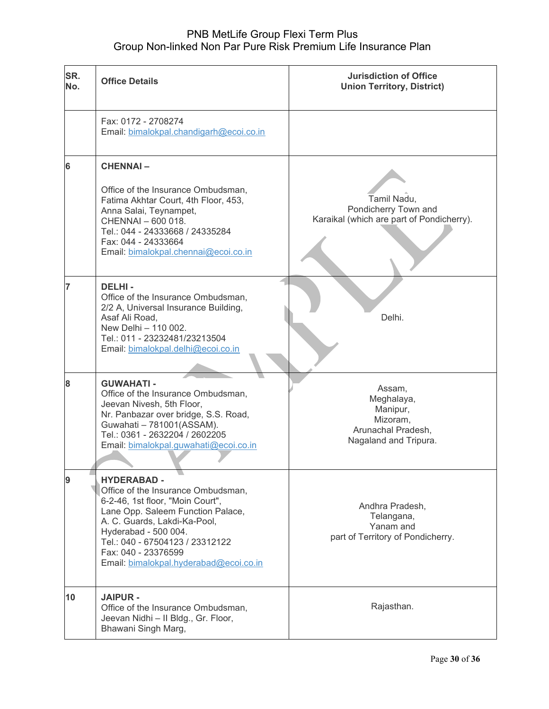| SR.<br>No. | <b>Office Details</b>                                                                                                                                                                                                                                                                         | <b>Jurisdiction of Office</b><br><b>Union Territory, District)</b>                          |
|------------|-----------------------------------------------------------------------------------------------------------------------------------------------------------------------------------------------------------------------------------------------------------------------------------------------|---------------------------------------------------------------------------------------------|
|            | Fax: 0172 - 2708274<br>Email: bimalokpal.chandigarh@ecoi.co.in                                                                                                                                                                                                                                |                                                                                             |
| 6          | <b>CHENNAI-</b><br>Office of the Insurance Ombudsman,<br>Fatima Akhtar Court, 4th Floor, 453,<br>Anna Salai, Teynampet,<br>CHENNAI - 600 018.<br>Tel.: 044 - 24333668 / 24335284<br>Fax: 044 - 24333664<br>Email: bimalokpal.chennai@ecoi.co.in                                               | Tamil Nadu,<br>Pondicherry Town and<br>Karaikal (which are part of Pondicherry).            |
| 7          | <b>DELHI-</b><br>Office of the Insurance Ombudsman,<br>2/2 A, Universal Insurance Building,<br>Asaf Ali Road,<br>New Delhi - 110 002.<br>Tel.: 011 - 23232481/23213504<br>Email: bimalokpal.delhi@ecoi.co.in                                                                                  | Delhi.                                                                                      |
| 8          | <b>GUWAHATI-</b><br>Office of the Insurance Ombudsman,<br>Jeevan Nivesh, 5th Floor,<br>Nr. Panbazar over bridge, S.S. Road,<br>Guwahati - 781001(ASSAM).<br>Tel.: 0361 - 2632204 / 2602205<br>Email: bimalokpal.guwahati@ecoi.co.in                                                           | Assam,<br>Meghalaya,<br>Manipur,<br>Mizoram,<br>Arunachal Pradesh,<br>Nagaland and Tripura. |
| 9          | <b>HYDERABAD -</b><br>Office of the Insurance Ombudsman,<br>6-2-46, 1st floor, "Moin Court",<br>Lane Opp. Saleem Function Palace,<br>A. C. Guards, Lakdi-Ka-Pool,<br>Hyderabad - 500 004.<br>Tel.: 040 - 67504123 / 23312122<br>Fax: 040 - 23376599<br>Email: bimalokpal.hyderabad@ecoi.co.in | Andhra Pradesh,<br>Telangana,<br>Yanam and<br>part of Territory of Pondicherry.             |
| 10         | <b>JAIPUR -</b><br>Office of the Insurance Ombudsman,<br>Jeevan Nidhi - Il Bldg., Gr. Floor,<br>Bhawani Singh Marg,                                                                                                                                                                           | Rajasthan.                                                                                  |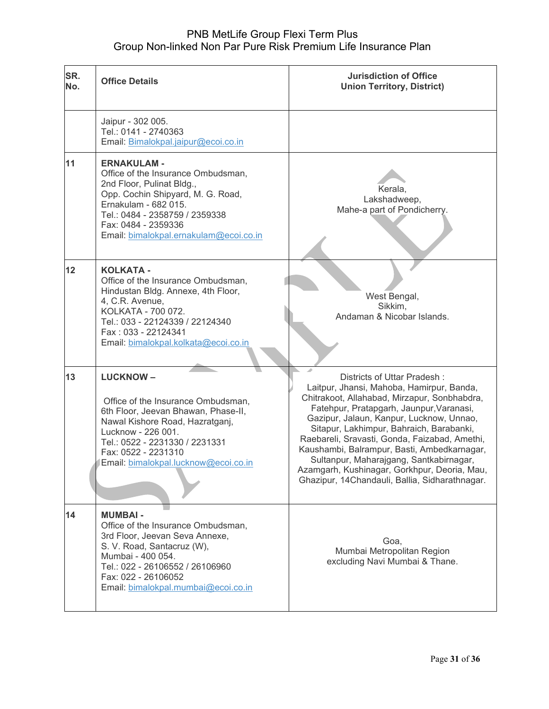| SR.<br>No. | <b>Office Details</b>                                                                                                                                                                                                                                  | <b>Jurisdiction of Office</b><br><b>Union Territory, District)</b>                                                                                                                                                                                                                                                                                                                                                                                                                                        |
|------------|--------------------------------------------------------------------------------------------------------------------------------------------------------------------------------------------------------------------------------------------------------|-----------------------------------------------------------------------------------------------------------------------------------------------------------------------------------------------------------------------------------------------------------------------------------------------------------------------------------------------------------------------------------------------------------------------------------------------------------------------------------------------------------|
|            | Jaipur - 302 005.<br>Tel.: 0141 - 2740363<br>Email: Bimalokpal.jaipur@ecoi.co.in                                                                                                                                                                       |                                                                                                                                                                                                                                                                                                                                                                                                                                                                                                           |
| 11         | <b>ERNAKULAM -</b><br>Office of the Insurance Ombudsman,<br>2nd Floor, Pulinat Bldg.,<br>Opp. Cochin Shipyard, M. G. Road,<br>Ernakulam - 682 015.<br>Tel.: 0484 - 2358759 / 2359338<br>Fax: 0484 - 2359336<br>Email: bimalokpal.ernakulam@ecoi.co.in  | Kerala,<br>Lakshadweep,<br>Mahe-a part of Pondicherry.                                                                                                                                                                                                                                                                                                                                                                                                                                                    |
| 12         | <b>KOLKATA -</b><br>Office of the Insurance Ombudsman,<br>Hindustan Bldg. Annexe, 4th Floor,<br>4, C.R. Avenue,<br>KOLKATA - 700 072.<br>Tel.: 033 - 22124339 / 22124340<br>Fax: 033 - 22124341<br>Email: bimalokpal.kolkata@ecoi.co.in                | West Bengal,<br>Sikkim.<br>Andaman & Nicobar Islands.                                                                                                                                                                                                                                                                                                                                                                                                                                                     |
| 13         | <b>LUCKNOW-</b><br>Office of the Insurance Ombudsman,<br>6th Floor, Jeevan Bhawan, Phase-II,<br>Nawal Kishore Road, Hazratganj,<br>Lucknow - 226 001.<br>Tel.: 0522 - 2231330 / 2231331<br>Fax: 0522 - 2231310<br>Email: bimalokpal.lucknow@ecoi.co.in | Districts of Uttar Pradesh:<br>Laitpur, Jhansi, Mahoba, Hamirpur, Banda,<br>Chitrakoot, Allahabad, Mirzapur, Sonbhabdra,<br>Fatehpur, Pratapgarh, Jaunpur, Varanasi,<br>Gazipur, Jalaun, Kanpur, Lucknow, Unnao,<br>Sitapur, Lakhimpur, Bahraich, Barabanki,<br>Raebareli, Sravasti, Gonda, Faizabad, Amethi,<br>Kaushambi, Balrampur, Basti, Ambedkarnagar,<br>Sultanpur, Maharajgang, Santkabirnagar,<br>Azamgarh, Kushinagar, Gorkhpur, Deoria, Mau,<br>Ghazipur, 14Chandauli, Ballia, Sidharathnagar. |
| 14         | <b>MUMBAI-</b><br>Office of the Insurance Ombudsman,<br>3rd Floor, Jeevan Seva Annexe,<br>S. V. Road, Santacruz (W),<br>Mumbai - 400 054.<br>Tel.: 022 - 26106552 / 26106960<br>Fax: 022 - 26106052<br>Email: bimalokpal.mumbai@ecoi.co.in             | Goa,<br>Mumbai Metropolitan Region<br>excluding Navi Mumbai & Thane.                                                                                                                                                                                                                                                                                                                                                                                                                                      |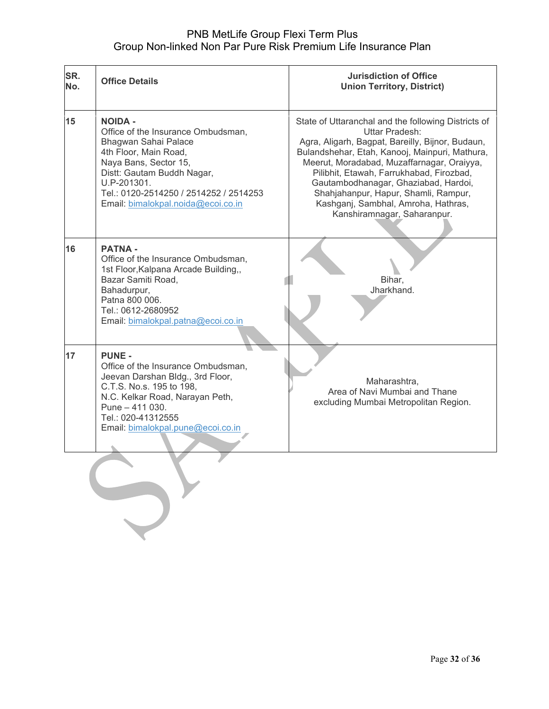| SR.<br>No. | <b>Office Details</b>                                                                                                                                                                                                                                       | <b>Jurisdiction of Office</b><br><b>Union Territory, District)</b>                                                                                                                                                                                                                                                                                                                                                          |
|------------|-------------------------------------------------------------------------------------------------------------------------------------------------------------------------------------------------------------------------------------------------------------|-----------------------------------------------------------------------------------------------------------------------------------------------------------------------------------------------------------------------------------------------------------------------------------------------------------------------------------------------------------------------------------------------------------------------------|
| 15         | <b>NOIDA -</b><br>Office of the Insurance Ombudsman,<br>Bhagwan Sahai Palace<br>4th Floor, Main Road,<br>Naya Bans, Sector 15,<br>Distt: Gautam Buddh Nagar,<br>U.P-201301.<br>Tel.: 0120-2514250 / 2514252 / 2514253<br>Email: bimalokpal.noida@ecoi.co.in | State of Uttaranchal and the following Districts of<br>Uttar Pradesh:<br>Agra, Aligarh, Bagpat, Bareilly, Bijnor, Budaun,<br>Bulandshehar, Etah, Kanooj, Mainpuri, Mathura,<br>Meerut, Moradabad, Muzaffarnagar, Oraiyya,<br>Pilibhit, Etawah, Farrukhabad, Firozbad,<br>Gautambodhanagar, Ghaziabad, Hardoi,<br>Shahjahanpur, Hapur, Shamli, Rampur,<br>Kashganj, Sambhal, Amroha, Hathras,<br>Kanshiramnagar, Saharanpur. |
| 16         | <b>PATNA -</b><br>Office of the Insurance Ombudsman,<br>1st Floor, Kalpana Arcade Building,,<br>Bazar Samiti Road,<br>Bahadurpur,<br>Patna 800 006.<br>Tel.: 0612-2680952<br>Email: bimalokpal.patna@ecoi.co.in                                             | Bihar,<br>Jharkhand.                                                                                                                                                                                                                                                                                                                                                                                                        |
| 17         | <b>PUNE -</b><br>Office of the Insurance Ombudsman,<br>Jeevan Darshan Bldg., 3rd Floor,<br>C.T.S. No.s. 195 to 198,<br>N.C. Kelkar Road, Narayan Peth,<br>Pune - 411 030.<br>Tel.: 020-41312555<br>Email: bimalokpal.pune@ecoi.co.in                        | Maharashtra,<br>Area of Navi Mumbai and Thane<br>excluding Mumbai Metropolitan Region.                                                                                                                                                                                                                                                                                                                                      |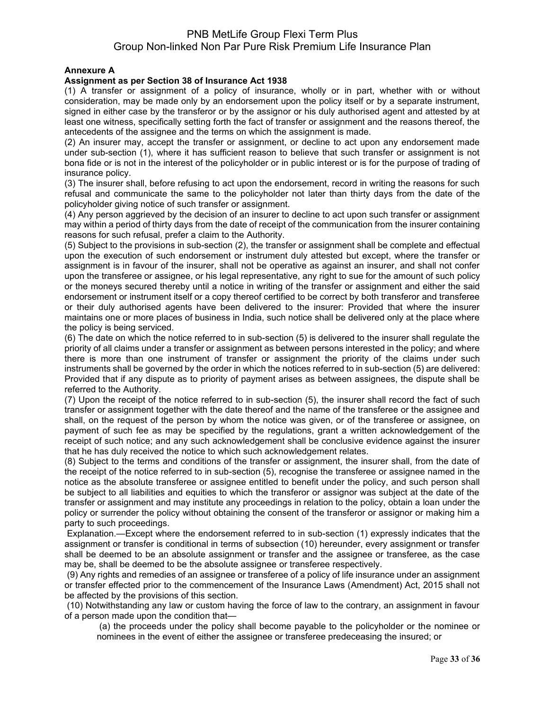### **Annexure A**

### **Assignment as per Section 38 of Insurance Act 1938**

(1) A transfer or assignment of a policy of insurance, wholly or in part, whether with or without consideration, may be made only by an endorsement upon the policy itself or by a separate instrument, signed in either case by the transferor or by the assignor or his duly authorised agent and attested by at least one witness, specifically setting forth the fact of transfer or assignment and the reasons thereof, the antecedents of the assignee and the terms on which the assignment is made.

(2) An insurer may, accept the transfer or assignment, or decline to act upon any endorsement made under sub-section (1), where it has sufficient reason to believe that such transfer or assignment is not bona fide or is not in the interest of the policyholder or in public interest or is for the purpose of trading of insurance policy.

(3) The insurer shall, before refusing to act upon the endorsement, record in writing the reasons for such refusal and communicate the same to the policyholder not later than thirty days from the date of the policyholder giving notice of such transfer or assignment.

(4) Any person aggrieved by the decision of an insurer to decline to act upon such transfer or assignment may within a period of thirty days from the date of receipt of the communication from the insurer containing reasons for such refusal, prefer a claim to the Authority.

(5) Subject to the provisions in sub-section (2), the transfer or assignment shall be complete and effectual upon the execution of such endorsement or instrument duly attested but except, where the transfer or assignment is in favour of the insurer, shall not be operative as against an insurer, and shall not confer upon the transferee or assignee, or his legal representative, any right to sue for the amount of such policy or the moneys secured thereby until a notice in writing of the transfer or assignment and either the said endorsement or instrument itself or a copy thereof certified to be correct by both transferor and transferee or their duly authorised agents have been delivered to the insurer: Provided that where the insurer maintains one or more places of business in India, such notice shall be delivered only at the place where the policy is being serviced.

(6) The date on which the notice referred to in sub-section (5) is delivered to the insurer shall regulate the priority of all claims under a transfer or assignment as between persons interested in the policy; and where there is more than one instrument of transfer or assignment the priority of the claims under such instruments shall be governed by the order in which the notices referred to in sub-section (5) are delivered: Provided that if any dispute as to priority of payment arises as between assignees, the dispute shall be referred to the Authority.

(7) Upon the receipt of the notice referred to in sub-section (5), the insurer shall record the fact of such transfer or assignment together with the date thereof and the name of the transferee or the assignee and shall, on the request of the person by whom the notice was given, or of the transferee or assignee, on payment of such fee as may be specified by the regulations, grant a written acknowledgement of the receipt of such notice; and any such acknowledgement shall be conclusive evidence against the insurer that he has duly received the notice to which such acknowledgement relates.

(8) Subject to the terms and conditions of the transfer or assignment, the insurer shall, from the date of the receipt of the notice referred to in sub-section (5), recognise the transferee or assignee named in the notice as the absolute transferee or assignee entitled to benefit under the policy, and such person shall be subject to all liabilities and equities to which the transferor or assignor was subject at the date of the transfer or assignment and may institute any proceedings in relation to the policy, obtain a loan under the policy or surrender the policy without obtaining the consent of the transferor or assignor or making him a party to such proceedings.

Explanation.—Except where the endorsement referred to in sub-section (1) expressly indicates that the assignment or transfer is conditional in terms of subsection (10) hereunder, every assignment or transfer shall be deemed to be an absolute assignment or transfer and the assignee or transferee, as the case may be, shall be deemed to be the absolute assignee or transferee respectively.

(9) Any rights and remedies of an assignee or transferee of a policy of life insurance under an assignment or transfer effected prior to the commencement of the Insurance Laws (Amendment) Act, 2015 shall not be affected by the provisions of this section.

(10) Notwithstanding any law or custom having the force of law to the contrary, an assignment in favour of a person made upon the condition that—

(a) the proceeds under the policy shall become payable to the policyholder or the nominee or nominees in the event of either the assignee or transferee predeceasing the insured; or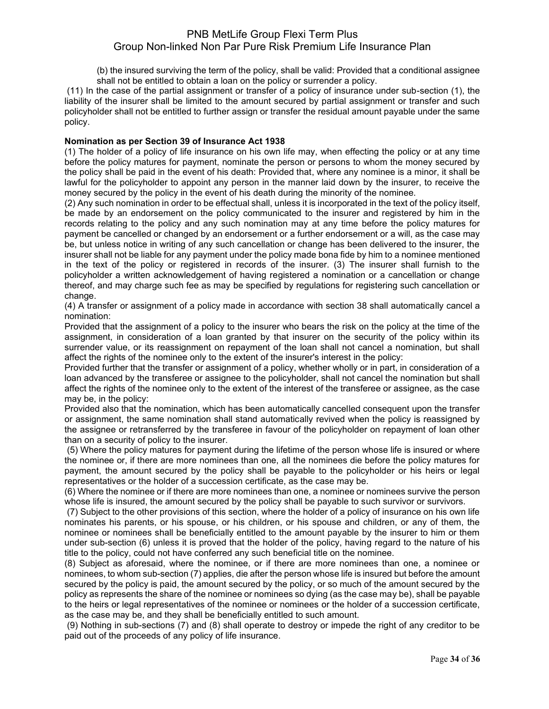(b) the insured surviving the term of the policy, shall be valid: Provided that a conditional assignee shall not be entitled to obtain a loan on the policy or surrender a policy.

(11) In the case of the partial assignment or transfer of a policy of insurance under sub-section (1), the liability of the insurer shall be limited to the amount secured by partial assignment or transfer and such policyholder shall not be entitled to further assign or transfer the residual amount payable under the same policy.

#### **Nomination as per Section 39 of Insurance Act 1938**

(1) The holder of a policy of life insurance on his own life may, when effecting the policy or at any time before the policy matures for payment, nominate the person or persons to whom the money secured by the policy shall be paid in the event of his death: Provided that, where any nominee is a minor, it shall be lawful for the policyholder to appoint any person in the manner laid down by the insurer, to receive the money secured by the policy in the event of his death during the minority of the nominee.

(2) Any such nomination in order to be effectual shall, unless it is incorporated in the text of the policy itself, be made by an endorsement on the policy communicated to the insurer and registered by him in the records relating to the policy and any such nomination may at any time before the policy matures for payment be cancelled or changed by an endorsement or a further endorsement or a will, as the case may be, but unless notice in writing of any such cancellation or change has been delivered to the insurer, the insurer shall not be liable for any payment under the policy made bona fide by him to a nominee mentioned in the text of the policy or registered in records of the insurer. (3) The insurer shall furnish to the policyholder a written acknowledgement of having registered a nomination or a cancellation or change thereof, and may charge such fee as may be specified by regulations for registering such cancellation or change.

(4) A transfer or assignment of a policy made in accordance with section 38 shall automatically cancel a nomination:

Provided that the assignment of a policy to the insurer who bears the risk on the policy at the time of the assignment, in consideration of a loan granted by that insurer on the security of the policy within its surrender value, or its reassignment on repayment of the loan shall not cancel a nomination, but shall affect the rights of the nominee only to the extent of the insurer's interest in the policy:

Provided further that the transfer or assignment of a policy, whether wholly or in part, in consideration of a loan advanced by the transferee or assignee to the policyholder, shall not cancel the nomination but shall affect the rights of the nominee only to the extent of the interest of the transferee or assignee, as the case may be, in the policy:

Provided also that the nomination, which has been automatically cancelled consequent upon the transfer or assignment, the same nomination shall stand automatically revived when the policy is reassigned by the assignee or retransferred by the transferee in favour of the policyholder on repayment of loan other than on a security of policy to the insurer.

(5) Where the policy matures for payment during the lifetime of the person whose life is insured or where the nominee or, if there are more nominees than one, all the nominees die before the policy matures for payment, the amount secured by the policy shall be payable to the policyholder or his heirs or legal representatives or the holder of a succession certificate, as the case may be.

(6) Where the nominee or if there are more nominees than one, a nominee or nominees survive the person whose life is insured, the amount secured by the policy shall be payable to such survivor or survivors.

(7) Subject to the other provisions of this section, where the holder of a policy of insurance on his own life nominates his parents, or his spouse, or his children, or his spouse and children, or any of them, the nominee or nominees shall be beneficially entitled to the amount payable by the insurer to him or them under sub-section (6) unless it is proved that the holder of the policy, having regard to the nature of his title to the policy, could not have conferred any such beneficial title on the nominee.

(8) Subject as aforesaid, where the nominee, or if there are more nominees than one, a nominee or nominees, to whom sub-section (7) applies, die after the person whose life is insured but before the amount secured by the policy is paid, the amount secured by the policy, or so much of the amount secured by the policy as represents the share of the nominee or nominees so dying (as the case may be), shall be payable to the heirs or legal representatives of the nominee or nominees or the holder of a succession certificate, as the case may be, and they shall be beneficially entitled to such amount.

(9) Nothing in sub-sections (7) and (8) shall operate to destroy or impede the right of any creditor to be paid out of the proceeds of any policy of life insurance.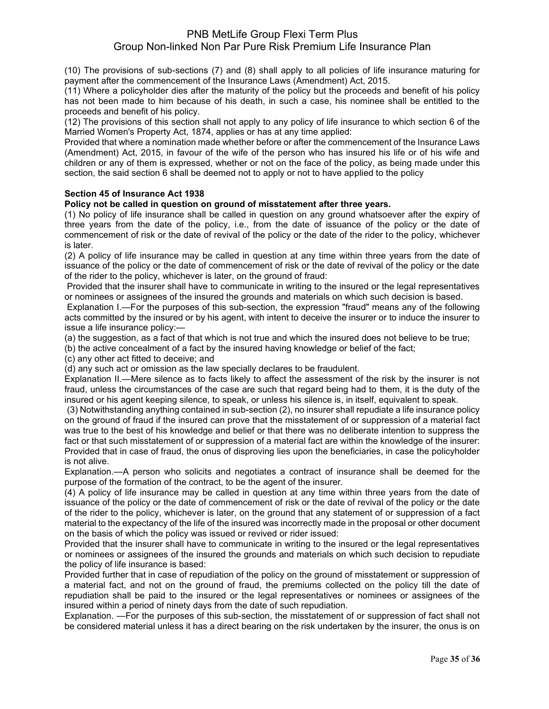(10) The provisions of sub-sections (7) and (8) shall apply to all policies of life insurance maturing for payment after the commencement of the Insurance Laws (Amendment) Act, 2015.

(11) Where a policyholder dies after the maturity of the policy but the proceeds and benefit of his policy has not been made to him because of his death, in such a case, his nominee shall be entitled to the proceeds and benefit of his policy.

(12) The provisions of this section shall not apply to any policy of life insurance to which section 6 of the Married Women's Property Act, 1874, applies or has at any time applied:

Provided that where a nomination made whether before or after the commencement of the Insurance Laws (Amendment) Act, 2015, in favour of the wife of the person who has insured his life or of his wife and children or any of them is expressed, whether or not on the face of the policy, as being made under this section, the said section 6 shall be deemed not to apply or not to have applied to the policy

### **Section 45 of Insurance Act 1938**

#### **Policy not be called in question on ground of misstatement after three years.**

(1) No policy of life insurance shall be called in question on any ground whatsoever after the expiry of three years from the date of the policy, i.e., from the date of issuance of the policy or the date of commencement of risk or the date of revival of the policy or the date of the rider to the policy, whichever is later.

(2) A policy of life insurance may be called in question at any time within three years from the date of issuance of the policy or the date of commencement of risk or the date of revival of the policy or the date of the rider to the policy, whichever is later, on the ground of fraud:

Provided that the insurer shall have to communicate in writing to the insured or the legal representatives or nominees or assignees of the insured the grounds and materials on which such decision is based.

Explanation I.—For the purposes of this sub-section, the expression "fraud" means any of the following acts committed by the insured or by his agent, with intent to deceive the insurer or to induce the insurer to issue a life insurance policy:—

(a) the suggestion, as a fact of that which is not true and which the insured does not believe to be true;

(b) the active concealment of a fact by the insured having knowledge or belief of the fact;

(c) any other act fitted to deceive; and

(d) any such act or omission as the law specially declares to be fraudulent.

Explanation II.—Mere silence as to facts likely to affect the assessment of the risk by the insurer is not fraud, unless the circumstances of the case are such that regard being had to them, it is the duty of the insured or his agent keeping silence, to speak, or unless his silence is, in itself, equivalent to speak.

(3) Notwithstanding anything contained in sub-section (2), no insurer shall repudiate a life insurance policy on the ground of fraud if the insured can prove that the misstatement of or suppression of a material fact was true to the best of his knowledge and belief or that there was no deliberate intention to suppress the fact or that such misstatement of or suppression of a material fact are within the knowledge of the insurer: Provided that in case of fraud, the onus of disproving lies upon the beneficiaries, in case the policyholder is not alive.

Explanation.—A person who solicits and negotiates a contract of insurance shall be deemed for the purpose of the formation of the contract, to be the agent of the insurer.

(4) A policy of life insurance may be called in question at any time within three years from the date of issuance of the policy or the date of commencement of risk or the date of revival of the policy or the date of the rider to the policy, whichever is later, on the ground that any statement of or suppression of a fact material to the expectancy of the life of the insured was incorrectly made in the proposal or other document on the basis of which the policy was issued or revived or rider issued:

Provided that the insurer shall have to communicate in writing to the insured or the legal representatives or nominees or assignees of the insured the grounds and materials on which such decision to repudiate the policy of life insurance is based:

Provided further that in case of repudiation of the policy on the ground of misstatement or suppression of a material fact, and not on the ground of fraud, the premiums collected on the policy till the date of repudiation shall be paid to the insured or the legal representatives or nominees or assignees of the insured within a period of ninety days from the date of such repudiation.

Explanation. —For the purposes of this sub-section, the misstatement of or suppression of fact shall not be considered material unless it has a direct bearing on the risk undertaken by the insurer, the onus is on